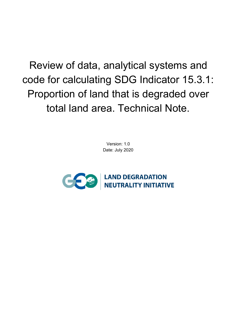Review of data, analytical systems and code for calculating SDG Indicator 15.3.1: Proportion of land that is degraded over total land area. Technical Note.

> Version: 1.0 Date: July 2020

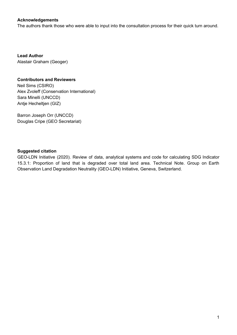#### **Acknowledgements**

The authors thank those who were able to input into the consultation process for their quick turn around.

**Lead Author** Alastair Graham (Geoger)

#### **Contributors and Reviewers**

Neil Sims (CSIRO) Alex Zvoleff (Conservation International) Sara Minelli (UNCCD) Antje Hecheltjen (GIZ)

Barron Joseph Orr (UNCCD) Douglas Cripe (GEO Secretariat)

#### **Suggested citation**

GEO-LDN Initiative (2020). Review of data, analytical systems and code for calculating SDG Indicator 15.3.1: Proportion of land that is degraded over total land area. Technical Note. Group on Earth Observation Land Degradation Neutrality (GEO-LDN) Initiative, Geneva, Switzerland.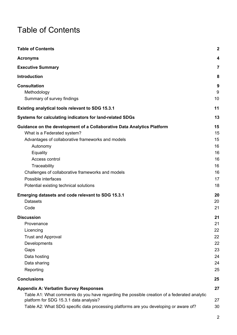# <span id="page-2-0"></span>Table of Contents

| <b>Table of Contents</b>                                                                                                                                                                                                                                                                                                                                                                                                   | $\mathbf{2}$                                                               |
|----------------------------------------------------------------------------------------------------------------------------------------------------------------------------------------------------------------------------------------------------------------------------------------------------------------------------------------------------------------------------------------------------------------------------|----------------------------------------------------------------------------|
| <b>Acronyms</b>                                                                                                                                                                                                                                                                                                                                                                                                            | 4                                                                          |
| <b>Executive Summary</b>                                                                                                                                                                                                                                                                                                                                                                                                   | $\overline{7}$                                                             |
| Introduction                                                                                                                                                                                                                                                                                                                                                                                                               | 8                                                                          |
| <b>Consultation</b><br>Methodology<br>Summary of survey findings                                                                                                                                                                                                                                                                                                                                                           | 9<br>9<br>10                                                               |
| <b>Existing analytical tools relevant to SDG 15.3.1</b>                                                                                                                                                                                                                                                                                                                                                                    | 11                                                                         |
| Systems for calculating indicators for land-related SDGs                                                                                                                                                                                                                                                                                                                                                                   | 13                                                                         |
| Guidance on the development of a Collaborative Data Analytics Platform<br>What is a Federated system?<br>Advantages of collaborative frameworks and models<br>Autonomy<br>Equality<br>Access control<br>Traceability<br>Challenges of collaborative frameworks and models<br>Possible interfaces<br>Potential existing technical solutions<br>Emerging datasets and code relevant to SDG 15.3.1<br><b>Datasets</b><br>Code | 15<br>15<br>15<br>16<br>16<br>16<br>16<br>16<br>17<br>18<br>20<br>20<br>21 |
| <b>Discussion</b><br>Provenance<br>Licencing<br><b>Trust and Approval</b><br>Developments<br>Gaps<br>Data hosting<br>Data sharing<br>Reporting                                                                                                                                                                                                                                                                             | 21<br>21<br>22<br>22<br>22<br>23<br>24<br>24<br>25                         |
| <b>Conclusions</b>                                                                                                                                                                                                                                                                                                                                                                                                         | 25                                                                         |
| <b>Appendix A: Verbatim Survey Responses</b><br>Table A1: What comments do you have regarding the possible creation of a federated analytic<br>platform for SDG 15.3.1 data analysis?<br>Table A2: What SDG specific data processing platforms are you developing or aware of?                                                                                                                                             | 27<br>27<br>30                                                             |

2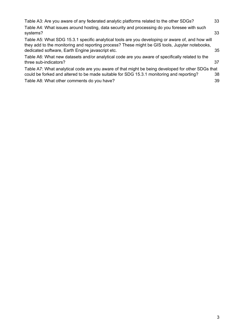| Table A3: Are you aware of any federated analytic platforms related to the other SDGs?                                                                                                                                                                 | 33       |
|--------------------------------------------------------------------------------------------------------------------------------------------------------------------------------------------------------------------------------------------------------|----------|
| Table A4: What issues around hosting, data security and processing do you foresee with such<br>systems?                                                                                                                                                | 33       |
| Table A5: What SDG 15.3.1 specific analytical tools are you developing or aware of, and how will<br>they add to the monitoring and reporting process? These might be GIS tools, Jupyter notebooks,<br>dedicated software, Earth Engine javascript etc. | 35       |
| Table A6: What new datasets and/or analytical code are you aware of specifically related to the<br>three sub-indicators?                                                                                                                               | 37       |
| Table A7: What analytical code are you aware of that might be being developed for other SDGs that<br>could be forked and altered to be made suitable for SDG 15.3.1 monitoring and reporting?<br>Table A8: What other comments do you have?            | 38<br>39 |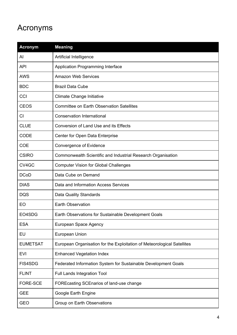# <span id="page-4-0"></span>Acronyms

| <b>Acronym</b>  | <b>Meaning</b>                                                          |
|-----------------|-------------------------------------------------------------------------|
| Al              | Artificial Intelligence                                                 |
| <b>API</b>      | Application Programming Interface                                       |
| <b>AWS</b>      | <b>Amazon Web Services</b>                                              |
| <b>BDC</b>      | <b>Brazil Data Cube</b>                                                 |
| CCI             | <b>Climate Change Initiative</b>                                        |
| <b>CEOS</b>     | <b>Committee on Earth Observation Satellites</b>                        |
| <b>CI</b>       | <b>Conservation International</b>                                       |
| <b>CLUE</b>     | Conversion of Land Use and its Effects                                  |
| <b>CODE</b>     | Center for Open Data Enterprise                                         |
| <b>COE</b>      | <b>Convergence of Evidence</b>                                          |
| <b>CSIRO</b>    | Commonwealth Scientific and Industrial Research Organisation            |
| CV4GC           | <b>Computer Vision for Global Challenges</b>                            |
| <b>DCoD</b>     | Data Cube on Demand                                                     |
| <b>DIAS</b>     | Data and Information Access Services                                    |
| <b>DQS</b>      | Data Quality Standards                                                  |
| EO              | <b>Earth Observation</b>                                                |
| EO4SDG          | Earth Observations for Sustainable Development Goals                    |
| <b>ESA</b>      | European Space Agency                                                   |
| EU              | <b>European Union</b>                                                   |
| <b>EUMETSAT</b> | European Organisation for the Exploitation of Meteorological Satellites |
| EVI             | <b>Enhanced Vegetation Index</b>                                        |
| <b>FIS4SDG</b>  | Federated Information System for Sustainable Development Goals          |
| <b>FLINT</b>    | Full Lands Integration Tool                                             |
| <b>FORE-SCE</b> | FOREcasting SCEnarios of land-use change                                |
| <b>GEE</b>      | Google Earth Engine                                                     |
| <b>GEO</b>      | Group on Earth Observations                                             |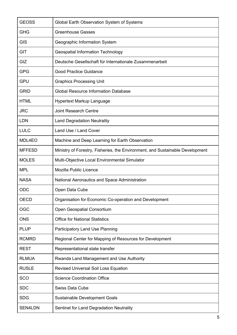| <b>GEOSS</b>  | Global Earth Observation System of Systems                                    |
|---------------|-------------------------------------------------------------------------------|
| <b>GHG</b>    | <b>Greenhouse Gasses</b>                                                      |
| <b>GIS</b>    | Geographic Information System                                                 |
| <b>GIT</b>    | <b>Geospatial Information Technology</b>                                      |
| GIZ           | Deutsche Gesellschaft für Internationale Zusammenarbeit                       |
| <b>GPG</b>    | <b>Good Practice Guidance</b>                                                 |
| <b>GPU</b>    | <b>Graphics Processing Unit</b>                                               |
| <b>GRID</b>   | <b>Global Resource Information Database</b>                                   |
| <b>HTML</b>   | Hypertext Markup Language                                                     |
| <b>JRC</b>    | <b>Joint Research Centre</b>                                                  |
| <b>LDN</b>    | <b>Land Degradation Neutrality</b>                                            |
| <b>LULC</b>   | Land Use / Land Cover                                                         |
| MDL4EO        | Machine and Deep Learning for Earth Observation                               |
| <b>MFFESD</b> | Ministry of Forestry, Fisheries, the Environment, and Sustainable Development |
| <b>MOLES</b>  | Multi-Objective Local Environmental Simulator                                 |
| <b>MPL</b>    | <b>Mozilla Public Licence</b>                                                 |
| <b>NASA</b>   | National Aeronautics and Space Administration                                 |
| ODC           | Open Data Cube                                                                |
| <b>OECD</b>   | Organisation for Economic Co-operation and Development                        |
| <b>OGC</b>    | Open Geospatial Consortium                                                    |
| <b>ONS</b>    | <b>Office for National Statistics</b>                                         |
| <b>PLUP</b>   | <b>Participatory Land Use Planning</b>                                        |
| <b>RCMRD</b>  | Regional Center for Mapping of Resources for Development                      |
| <b>REST</b>   | Representational state transfer                                               |
| <b>RLMUA</b>  | Rwanda Land Management and Use Authority                                      |
| <b>RUSLE</b>  | Revised Universal Soil Loss Equation                                          |
| <b>SCO</b>    | <b>Science Coordination Office</b>                                            |
| <b>SDC</b>    | Swiss Data Cube                                                               |
| <b>SDG</b>    | Sustainable Development Goals                                                 |
|               |                                                                               |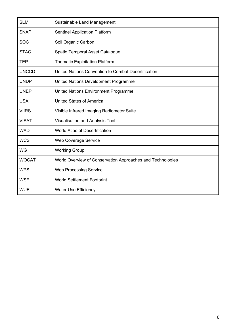| <b>SLM</b>   | Sustainable Land Management                                |  |  |  |
|--------------|------------------------------------------------------------|--|--|--|
| <b>SNAP</b>  | <b>Sentinel Application Platform</b>                       |  |  |  |
| <b>SOC</b>   | Soil Organic Carbon                                        |  |  |  |
| <b>STAC</b>  | Spatio Temporal Asset Catalogue                            |  |  |  |
| <b>TEP</b>   | <b>Thematic Exploitation Platform</b>                      |  |  |  |
| <b>UNCCD</b> | United Nations Convention to Combat Desertification        |  |  |  |
| <b>UNDP</b>  | United Nations Development Programme                       |  |  |  |
| <b>UNEP</b>  | United Nations Environment Programme                       |  |  |  |
| <b>USA</b>   | <b>United States of America</b>                            |  |  |  |
| <b>VIIRS</b> | Visible Infrared Imaging Radiometer Suite                  |  |  |  |
| <b>VISAT</b> | Visualisation and Analysis Tool                            |  |  |  |
| <b>WAD</b>   | <b>World Atlas of Desertification</b>                      |  |  |  |
| <b>WCS</b>   | <b>Web Coverage Service</b>                                |  |  |  |
| <b>WG</b>    | <b>Working Group</b>                                       |  |  |  |
| <b>WOCAT</b> | World Overview of Conservation Approaches and Technologies |  |  |  |
| <b>WPS</b>   | <b>Web Processing Service</b>                              |  |  |  |
| <b>WSF</b>   | <b>World Settlement Footprint</b>                          |  |  |  |
| <b>WUE</b>   | <b>Water Use Efficiency</b>                                |  |  |  |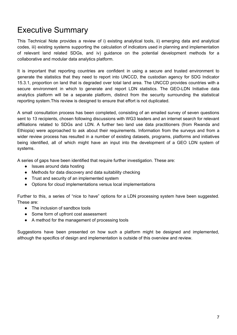## <span id="page-7-0"></span>Executive Summary

This Technical Note provides a review of i) existing analytical tools, ii) emerging data and analytical codes, iii) existing systems supporting the calculation of indicators used in planning and implementation of relevant land related SDGs, and iv) guidance on the potential development methods for a collaborative and modular data analytics platform.

It is important that reporting countries are confident in using a secure and trusted environment to generate the statistics that they need to report into UNCCD, the custodian agency for SDG Indicator 15.3.1, proportion on land that is degraded over total land area. The UNCCD provides countries with a secure environment in which to generate and report LDN statistics. The GEO-LDN Initiative data analytics platform will be a separate platform, distinct from the security surrounding the statistical reporting system.This review is designed to ensure that effort is not duplicated.

A small consultation process has been completed, consisting of an emailed survey of seven questions sent to 13 recipients, chosen following discussions with WG3 leaders and an internet search for relevant affiliations related to SDGs and LDN. A further two land use data practitioners (from Rwanda and Ethiopia) were approached to ask about their requirements. Information from the surveys and from a wider review process has resulted in a number of existing datasets, programs, platforms and initiatives being identified, all of which might have an input into the development of a GEO LDN system of systems.

A series of gaps have been identified that require further investigation. These are:

- Issues around data hosting
- Methods for data discovery and data suitability checking
- Trust and security of an implemented system
- Options for cloud implementations versus local implementations

Further to this, a series of "nice to have" options for a LDN processing system have been suggested. These are:

- The inclusion of sandbox tools
- Some form of upfront cost assessment
- A method for the management of processing tools

Suggestions have been presented on how such a platform might be designed and implemented, although the specifics of design and implementation is outside of this overview and review.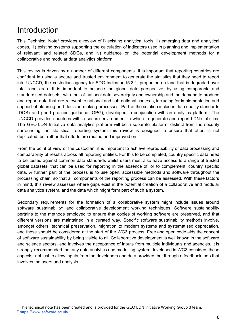## <span id="page-8-0"></span>Introduction

This Technical Note<sup>1</sup> provides a review of i) existing analytical tools, ii) emerging data and analytical codes, iii) existing systems supporting the calculation of indicators used in planning and implementation of relevant land related SDGs, and iv) guidance on the potential development methods for a collaborative and modular data analytics platform.

This review is driven by a number of different components. It is important that reporting countries are confident in using a secure and trusted environment to generate the statistics that they need to report into UNCCD, the custodian agency for SDG Indicator 15.3.1, proportion on land that is degraded over total land area. It is important to balance the global data perspective, by using comparable and standardised datasets, with that of national data sovereignty and ownership and the demand to produce and report data that are relevant to national and sub-national contexts, including for implementation and support of planning and decision making processes. Part of the solution includes data quality standards (DQS) and good practice guidance (GPG), developed in conjunction with an analytics platform. The UNCCD provides countries with a secure environment in which to generate and report LDN statistics. The GEO-LDN Initiative data analytics platform will be a separate platform, distinct from the security surrounding the statistical reporting system.This review is designed to ensure that effort is not duplicated, but rather that efforts are reused and improved on.

From the point of view of the custodian, it is important to achieve reproducibility of data processing and comparability of results across all reporting entities. For this to be completed, country specific data need to be tested against common data standards whilst users must also have access to a range of trusted global datasets, that can be used for reporting in the absence of, or to complement, country specific data. A further part of the process is to use open, accessible methods and software throughout the processing chain, so that all components of the reporting process can be assessed. With these factors in mind, this review assesses where gaps exist in the potential creation of a collaborative and modular data analytics system, and the data which might form part of such a system.

Secondary requirements for the formation of a collaborative system might include issues around software sustainability<sup>2</sup> and collaborative development working techniques. Software sustainability pertains to the methods employed to ensure that copies of working software are preserved, and that different versions are maintained in a curated way. Specific software sustainability methods involve, amongst others, technical preservation, migration to modern systems and systematised deprecation, and these should be considered at the start of the WG3 process. Free and open code aids the concept of software sustainability by being visible to all. Collaborative development is well known in the software and science sectors, and involves the acceptance of inputs from multiple individuals and agencies. It is strongly recommended that any data analytics and modelling system developed in WG3 considers these aspects, not just to allow inputs from the developers and data providers but through a feedback loop that involves the users and analysts.

<sup>1</sup> This technical note has been created and is provided for the GEO LDN Initiative Working Group 3 team. <sup>2</sup> <https://www.software.ac.uk/>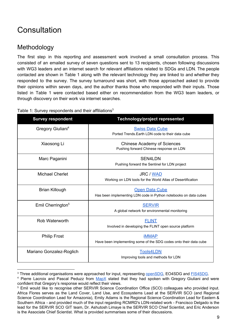# <span id="page-9-0"></span>**Consultation**

### <span id="page-9-1"></span>Methodology

The first step in this reporting and assessment work involved a small consultation process. This consisted of an emailed survey of seven questions sent to 13 recipients, chosen following discussions with WG3 leaders and an internet search for relevant affiliations related to SDGs and LDN. The people contacted are shown in Table 1 along with the relevant technology they are linked to and whether they responded to the survey. The survey turnaround was short, with those approached asked to provide their opinions within seven days, and the author thanks those who responded with their inputs. Those listed in Table 1 were contacted based either on recommendation from the WG3 team leaders, or through discovery on their work via internet searches.

| <b>Survey respondent</b>      | <b>Technology/project represented</b>                                                     |
|-------------------------------|-------------------------------------------------------------------------------------------|
| Gregory Giuliani <sup>4</sup> | <b>Swiss Data Cube</b><br>Ported Trends. Earth LDN code to their data cube                |
| Xiaosong Li                   | <b>Chinese Academy of Sciences</b><br>Pushing forward Chinese response on LDN             |
| Marc Paganini                 | SEN4I DN<br>Pushing forward the Sentinel for LDN project                                  |
| <b>Michael Cherlet</b>        | <b>JRC / WAD</b><br>Working on LDN tools for the World Atlas of Desertification           |
| <b>Brian Killough</b>         | <b>Open Data Cube</b><br>Has been implementing LDN code in Python notebooks on data cubes |
| Emil Cherrington <sup>5</sup> | <b>SERVIR</b><br>A global network for environmental monitoring                            |
| Rob Waterworth                | <b>FLINT</b><br>Involved in developing the FLINT open source platform                     |
| <b>Philip Frost</b>           | <b>iMMAP</b><br>Have been implementing some of the SDG codes onto their data cube         |
| Mariano Gonzalez-Roglich      | <b>Tools4LDN</b><br>Improving tools and methods for LDN                                   |

Table 1: Survey respondents and their affiliations<sup>3</sup>

<sup>&</sup>lt;sup>3</sup> Three additional organisations were approached for input, representing [openSDG,](https://open-sdg.readthedocs.io/en/latest/) EO4SDG and **[FIS4SDG](http://ggim.un.org/meetings/2019/Deqing/documents/S3-FIS4SDGs_L%20G%20Morales.pdf)**.

<sup>&</sup>lt;sup>4</sup> Pierre Lacroix and Pascal Peduzz from [MapX](https://www.mapx.org/) stated that they had spoken with Gregory Giuliani and were confident that Gregory's response would reflect their views.

<sup>5</sup> Emil would like to recognise other SERVIR Science Coordination Office (SCO) colleagues who provided input. Africa Flores serves as the Land Cover, Land Use, and Ecosystems Lead at the SERVIR SCO (and Regional Science Coordination Lead for Amazonia), Emily Adams is the Regional Science Coordination Lead for Eastern & Southern Africa - and provided much of the input regarding RCMRD's LDN-related work - Francisco Delgado is the lead for the SERVIR SCO GIT team, Dr. Ashutosh Limaye is the SERVIR SCO Chief Scientist, and Eric Anderson is the Associate Chief Scientist. What is provided summarises some of their discussions.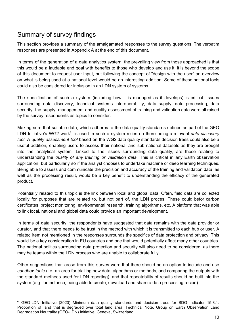### <span id="page-10-0"></span>Summary of survey findings

This section provides a summary of the amalgamated responses to the survey questions. The verbatim responses are presented in Appendix A at the end of this document.

In terms of the generation of a data analytics system, the prevailing view from those approached is that this would be a laudable end goal with benefits to those who develop and use it. It is beyond the scope of this document to request user input, but following the concept of "design with the user" an overview on what is being used at a national level would be an interesting addition. Some of these national tools could also be considered for inclusion in an LDN system of systems.

The specification of such a system (including how it is managed as it develops) is critical. Issues surrounding data discovery, technical systems interoperability, data supply, data processing, data security, the supply, management and quality assessment of training and validation data were all raised by the survey respondents as topics to consider.

Making sure that suitable data, which adheres to the data quality standards defined as part of the GEO LDN Initiative's WG2 work<sup>6</sup>, is used in such a system relies on there being a relevant *data discovery tool*. A *quality assessment tool* based on the WG2 data quality standards decision trees could also be a useful addition, enabling users to assess their national and sub-national datasets as they are brought into the analytical system. Linked to the issues surrounding data quality, are those relating to understanding the *quality of any training or validation data*. This is critical in any Earth observation application, but particularly so if the analyst chooses to undertake machine or deep learning techniques. Being able to assess and communicate the precision and accuracy of the training and validation data, as well as the processing result, would be a key benefit to understanding the efficacy of the generated product.

Potentially related to this topic is the link between local and global data. Often, field data are collected locally for purposes that are related to, but not part of, the LDN proces. These could befor carbon certificates, project monitoring, environmental research, training algorithms, etc. A platform that was able to link local, national and global data could provide an important development.

In terms of data security, the respondents have suggested that data remains with the data provider or curator, and that there needs to be trust in the method with which it is transmitted to each hub or user. A related item not mentioned in the responses surrounds the specifics of data protection and privacy. This would be a key consideration in EU countries and one that would potentially affect many other countries. The national politics surrounding data protection and security will also need to be considered, as there may be teams within the LDN process who are unable to collaborate fully.

Other suggestions that arose from this survey were that there should be an option to include and use *sandbox tools* (i.e. an area for trialling new data, algorithms or methods, and comparing the outputs with the standard methods used for LDN reporting), and that repeatability of results should be built into the system (e.g. for instance, being able to create, download and share a data processing recipe).

<sup>&</sup>lt;sup>6</sup> GEO-LDN Initiative (2020) Minimum data quality standards and decision trees for SDG Indicator 15.3.1: Proportion of land that is degraded over total land area. Technical Note, Group on Earth Observation Land Degradation Neutrality (GEO-LDN) Initiative, Geneva, Switzerland.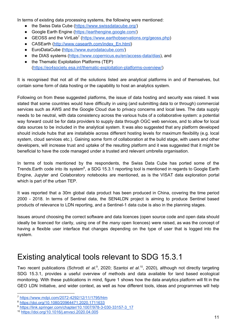In terms of existing data processing systems, the following were mentioned:

- the Swiss Data Cube [\(https://www.swissdatacube.org/](https://www.swissdatacube.org/))
- Google Earth Engine [\(https://earthengine.google.com/\)](https://earthengine.google.com/)
- GEOSS and the VirtLab<sup>7</sup> (<https://www.earthobservations.org/geoss.php>)
- CASEarth [\(http://www.casearth.com/index\\_En.html\)](http://www.casearth.com/index_En.html)
- EuroDataCube [\(https://www.eurodatacube.com/](https://www.eurodatacube.com/))
- the DIAS systems (<https://www.copernicus.eu/en/access-data/dias>), and
- the Thematic Exploitation Platforms (TEP) [\(https://eo4society.esa.int/thematic-exploitation-platforms-overview/\)](https://eo4society.esa.int/thematic-exploitation-platforms-overview/)

It is recognised that not all of the solutions listed are analytical platforms in and of themselves, but contain some form of data hosting or the capability to host an analytics system.

Following on from these suggested platforms, the issue of data hosting and security was raised. It was stated that some countries would have difficulty in using (and submitting data to or through) commercial services such as AWS and the Google Cloud due to privacy concerns and local laws. The data supply needs to be neutral, with data consistency across the various hubs of a collaborative system: a potential way forward could be for data providers to supply data through OGC web services, and to allow for local data sources to be included in the analytical system. It was also suggested that any platform developed should include hubs that are installable across different hosting levels for maximum flexibility (e.g. local system, cloud services etc.). Gaining some form of collaboration at the build stage, with users and other developers, will increase trust and uptake of the resulting platform and it was suggested that it might be beneficial to have the code managed under a trusted and relevant umbrella organisation.

In terms of tools mentioned by the respondents, the Swiss Data Cube has ported some of the Trends. Earth code into its system<sup>8</sup>, a SDG 15.3.1 reporting tool is mentioned in regards to Google Earth Engine, Jupyter and Colaboratory notebooks are mentioned, as is the VISAT data exploration portal which is part of the urban TEP.

It was reported that a 30m global data product has been produced in China, covering the time period 2000 - 2018. In terms of Sentinel data, the SEN4LDN project is aiming to produce Sentinel based products of relevance to LDN reporting, and a Sentinel-1 data cube is also in the planning stages.

Issues around choosing the correct software and data licences (open source code and open data should ideally be licenced for clarity, using one of the *many* open licences) were raised, as was the concept of having a flexible user interface that changes depending on the type of user that is logged into the system.

## <span id="page-11-0"></span>Existing analytical tools relevant to SDG 15.3.1

Two recent publications (Schrodt *et al.*<sup>9</sup>, 2020; Szantoi *et al.*<sup>10</sup>, 2020), although not directly targeting SDG 15.3.1, provides a useful overview of methods and data available for land based ecological monitoring. With these publications in mind, figure 1 shows how the data analytics platform will fit in the GEO LDN Initiative, and wider context, as well as how different tools, ideas and programmes will help

<sup>7</sup> <https://www.mdpi.com/2072-4292/12/11/1795/htm>

<sup>8</sup> <https://doi.org/10.1080/20964471.2020.1711633>

<sup>9</sup> [https://link.springer.com/chapter/10.1007/978-3-030-33157-3\\_17](https://link.springer.com/chapter/10.1007/978-3-030-33157-3_17)

<sup>10</sup> <https://doi.org/10.1016/j.envsci.2020.04.005>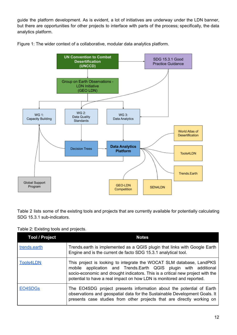guide the platform development. As is evident, a lot of initiatives are underway under the LDN banner, but there are opportunities for other projects to interface with parts of the process; specifically, the data analytics platform.





Table 2 lists some of the existing tools and projects that are currently available for potentially calculating SDG 15.3.1 sub-indicators.

#### Table 2: Existing tools and projects.

| <b>Tool / Project</b> | <b>Notes</b>                                                                                                                                                                                                                                                                                       |
|-----------------------|----------------------------------------------------------------------------------------------------------------------------------------------------------------------------------------------------------------------------------------------------------------------------------------------------|
| trends.earth          | Trends earth is implemented as a QGIS plugin that links with Google Earth<br>Engine and is the current de facto SDG 15.3.1 analytical tool.                                                                                                                                                        |
| <b>Tools4LDN</b>      | This project is looking to integrate the WOCAT SLM database, LandPKS<br>mobile application and Trends.Earth QGIS plugin with additional<br>socio-economic and drought indicators. This is a critical new project with the<br>potential to have a real impact on how LDN is monitored and reported. |
| EO4SDG <sub>s</sub>   | The EO4SDG project presents information about the potential of Earth<br>observations and geospatial data for the Sustainable Development Goals. It<br>presents case studies from other projects that are directly working on                                                                       |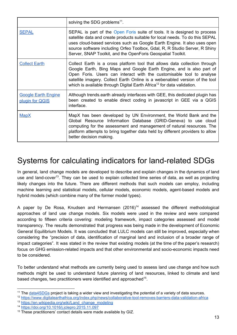|                                               | solving the SDG problems <sup>11</sup> .                                                                                                                                                                                                                                                                                                                                                        |
|-----------------------------------------------|-------------------------------------------------------------------------------------------------------------------------------------------------------------------------------------------------------------------------------------------------------------------------------------------------------------------------------------------------------------------------------------------------|
| <b>SEPAL</b>                                  | SEPAL is part of the Open Foris suite of tools. It is designed to process<br>satellite data and create products suitable for local needs. To do this SEPAL<br>uses cloud-based services such as Google Earth Engine. It also uses open<br>source software including Orfeo Toolbox, Gdal, R, R Studio Server, R Shiny<br>Server, SNAP Toolkit, and the OpenForis Geospatial Toolkit.             |
| <b>Collect Earth</b>                          | Collect Earth is a cross platform tool that allows data collection through<br>Google Earth, Bing Maps and Google Earth Engine, and is also part of<br>Open Foris. Users can interact with the customisable tool to analyse<br>satellite imagery. Collect Earth Online is a webenabled version of the tool<br>which is available through Digital Earth Africa <sup>12</sup> for data validation. |
| <b>Google Earth Engine</b><br>plugin for QGIS | Although trends.earth already interfaces with GEE, this dedicated plugin has<br>been created to enable direct coding in javascript in GEE via a QGIS<br>interface.                                                                                                                                                                                                                              |
| <b>MapX</b>                                   | MapX has been developed by UN Environment, the World Bank and the<br>Global Resource Information Database (GRID-Geneva) to use cloud<br>computing for the assessment and management of natural resources. The<br>platform attempts to bring together data held by different providers to allow<br>better decision making.                                                                       |

## <span id="page-13-0"></span>Systems for calculating indicators for land-related SDGs

In general, land change models are developed to describe and explain changes in the dynamics of land use and land-cover<sup>13</sup>. They can be used to explain collected time series of data, as well as projecting likely changes into the future. There are different methods that such models can employ, including machine learning and statistical models, cellular models, economic models, agent-based models and hybrid models (which combine many of the former model types).

A paper by De Rosa, Knudsen and Hermansen  $(2016)^{14}$  assessed the different methodological approaches of land use change models. Six models were used in the review and were compared according to fifteen criteria covering: modeling framework, impact categories assessed and model transparency. The results demonstrated that progress was being made in the development of Economic General Equilibrium Models. It was concluded that LULC models can still be improved, especially when considering the "precision of data, identification of marginal land and inclusion of a broader range of impact categories". It was stated in the review that existing models (at the time of the paper's research) focus on GHG emission-related impacts and that other environmental and socio-economic impacts need to be considered.

To better understand what methods are currently being used to assess land use change and how such methods might be used to understand future planning of land resources, linked to climate and land based changes, two practitioners were identified and approached<sup>15</sup>.

<sup>&</sup>lt;sup>11</sup> The [data4SDGs](http://www.data4sdgs.org/) project is taking a wider view and investigating the potential of a variety of data sources.

<sup>12</sup> <https://www.digitalearthafrica.org/index.php/news/collaborative-tool-removes-barriers-data-validation-africa>

<sup>13</sup> [https://en.wikipedia.org/wiki/Land\\_change\\_modeling](https://en.wikipedia.org/wiki/Land_change_modeling)

<sup>14</sup> <https://doi.org/10.1016/j.jclepro.2015.11.097>

<sup>&</sup>lt;sup>15</sup> These practitioners' contact details were made available by GIZ.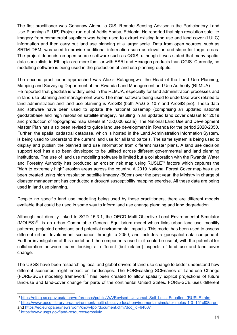The first practitioner was Genanaw Alemu, a GIS, Remote Sensing Advisor in the Participatory Land Use Planning (PLUP) Project run out of Addis Ababa, Ethiopia. He reported that high resolution satellite imagery from commercial suppliers was being used to extract existing land use and land cover (LULC) information and then carry out land use planning at a larger scale. Data from open sources, such as SRTM DEM, was used to provide additional information such as elevation and slope for target areas. The project depends on open source software such as QGIS, although it was stated that many spatial data specialists in Ethiopia are more familiar with ESRI and Hexagon products than QGIS. Currently, no modelling software is being used in the production of land use planning outputs.

The second practitioner approached was Alexis Rutagengwa, the Head of the Land Use Planning, Mapping and Surveying Department at the Rwanda Land Management and Use Authority (RLMUA). He reported that geodata is widely used in the RLMUA, especially for land administration processes and in land use planning and management work. The main software being used to undertake work related to land administration and land use planning is ArcGIS (both ArcGIS 10.7 and ArcGIS pro). These data and software have been used to update the national basemap (comprising an updated national geodatabase and high resolution satellite imagery, resulting in an updated land cover dataset for 2019 and production of topographic map sheets at 1:50,000 scale). The National Land Use and Development Master Plan has also been revised to guide land use development in Rwanda for the period 2020-2050. Further, the spatial cadastral database, which is hosted in the Land Administration Information System, is being used to understand the current land use for all land parcels. The same system is being used to display and publish the planned land use information from different master plans. A land use decision support tool has also been developed to be utilised across different governmental and land planning institutions. The use of land use modelling software is limited but a collaboration with the Rwanda Water and Forestry Authority has produced an erosion risk map using RUSLE<sup>16</sup> factors which captures the "high to extremely high" erosion areas across the country. A 2019 National Forest Cover map has also been created using high resolution satellite imagery (50cm) over the past year, the Ministry in charge of disaster management has conducted a drought susceptibility mapping exercise. All these data are being used in land use planning.

Despite no specific land use modelling being used by these practitioners, there are different models available that could be used in some way to inform land use change planning and land degradation.

Although not directly linked to SGD 15.3.1, the OECD Multi-Objective Local Environmental Simulator  $(MOLES)^{17}$ , is an urban Computable General Equilibrium model which links urban land use, mobility patterns, projected emissions and potential environmental impacts. This model has been used to assess different urban development scenarios through to 2050, and includes a geospatial data component. Further investigation of this model and the components used in it could be useful, with the potential for collaboration between teams looking at different (but related) aspects of land use and land cover change.

The USGS have been researching local and global drivers of land-use change to better understand how different scenarios might impact on landscapes. The FOREcasting SCEnarios of Land-use Change  $(FORE-SCE)$  modeling framework<sup>18</sup> has been created to allow spatially explicit projections of future land-use and land-cover change for parts of the continental United States. FORE-SCE uses different

<sup>18</sup> <https://www.usgs.gov/land-resources/eros/lulc>

<sup>16</sup> https://efotg.sc.egov.usda.gov/references/public/WA/Revised Universal Soil Loss Equation (RUSLE).htm

<sup>17</sup> [https://www.oecd-ilibrary.org/environment/multi-objective-local-environmental-simulator-moles-1-0\\_151cf08a-en](https://www.oecd-ilibrary.org/environment/multi-objective-local-environmental-simulator-moles-1-0_151cf08a-en) and [https://ec.europa.eu/newsroom/know4pol/document.cfm?doc\\_id=64007](https://ec.europa.eu/newsroom/know4pol/document.cfm?doc_id=64007)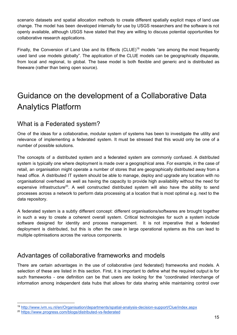scenario datasets and spatial allocation methods to create different spatially explicit maps of land use change. The model has been developed internally for use by USGS researchers and the software is not openly available, although USGS have stated that they are willing to discuss potential opportunities for collaborative research applications.

Finally, the Conversion of Land Use and its Effects (CLUE)<sup>19</sup> models "are among the most frequently used land use models globally". The application of the CLUE models can be geographically disparate, from local and regional, to global. The base model is both flexible and generic and is distributed as freeware (rather than being open source).

# <span id="page-15-0"></span>Guidance on the development of a Collaborative Data Analytics Platform

### <span id="page-15-1"></span>What is a Federated system?

One of the ideas for a collaborative, modular system of systems has been to investigate the utility and relevance of implementing a federated system. It must be stressed that this would only be one of a number of possible solutions.

The concepts of a distributed system and a federated system are commonly confused. A distributed system is typically one where deployment is made over a geographical area. For example, in the case of retail, an organisation might operate a number of stores that are geographically distributed away from a head office. A distributed IT system should be able to manage, deploy and upgrade any location with no organisational overhead as well as having the capacity to provide high availability without the need for expensive infrastructure<sup>20</sup>. A well constructed distributed system will also have the ability to send processes across a network to perform data processing at a location that is most optimal e.g. next to the data repository.

A federated system is a subtly different concept: different organisations/softwares are brought together in such a way to create a coherent overall system. Critical technologies for such a system include software designed for identity and process management. It is not imperative that a federated deployment is distributed, but this is often the case in large operational systems as this can lead to multiple optimisations across the various components.

#### <span id="page-15-2"></span>Advantages of collaborative frameworks and models

There are certain advantages in the use of collaborative (and federated) frameworks and models. A selection of these are listed in this section. First, it is important to define what the required output is for such frameworks - one definition can be that users are looking for the "coordinated interchange of information among independent data hubs that allows for data sharing while maintaining control over

<sup>19</sup> <http://www.ivm.vu.nl/en/Organisation/departments/spatial-analysis-decision-support/Clue/index.aspx>

<sup>20</sup> <https://www.progress.com/blogs/distributed-vs-federated>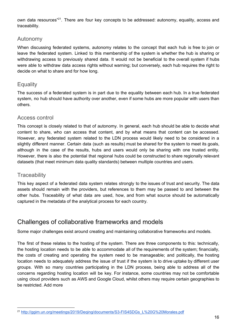own data resources<sup>"21</sup>. There are four key concepts to be addressed: autonomy, equality, access and traceability.

#### <span id="page-16-0"></span>Autonomy

When discussing federated systems, autonomy relates to the concept that each hub is free to join or leave the federated system. Linked to this membership of the system is whether the hub is sharing or withdrawing access to previously shared data. It would not be beneficial to the overall system if hubs were able to withdraw data access rights without warning; but conversely, each hub requires the right to decide on what to share and for how long.

#### <span id="page-16-1"></span>**Equality**

The success of a federated system is in part due to the equality between each hub. In a true federated system, no hub should have authority over another, even if some hubs are more popular with users than others.

#### <span id="page-16-2"></span>Access control

This concept is closely related to that of autonomy. In general, each hub should be able to decide what content to share, who can access that content, and by what means that content can be accessed. However, any federated system related to the LDN process would likely need to be considered in a slightly different manner. Certain data (such as results) must be shared for the system to meet its goals, although in the case of the results, hubs and users would only be sharing with one trusted entity. However, there is also the potential that regional hubs could be constructed to share regionally relevant datasets (that meet minimum data quality standards) between multiple countries and users.

#### <span id="page-16-3"></span>**Traceability**

This key aspect of a federated data system relates strongly to the issues of trust and security. The data assets should remain with the providers, but references to them may be passed to and between the other hubs. Traceability of what data are used, how, and from what source should be automatically captured in the metadata of the analytical process for each country.

#### <span id="page-16-4"></span>Challenges of collaborative frameworks and models

Some major challenges exist around creating and maintaining collaborative frameworks and models.

The first of these relates to the hosting of the system. There are three components to this: technically, the hosting location needs to be able to accommodate all of the requirements of the system; financially, the costs of creating and operating the system need to be manageable; and politically, the hosting location needs to adequately address the issue of trust if the system is to drive uptake by different user groups. With so many countries participating in the LDN process, being able to address all of the concerns regarding hosting location will be key. For instance, some countries may not be comfortable using cloud providers such as AWS and Google Cloud, whilst others may require certain geographies to be restricted. Add more

<sup>21</sup> [http://ggim.un.org/meetings/2019/Deqing/documents/S3-FIS4SDGs\\_L%20G%20Morales.pdf](http://ggim.un.org/meetings/2019/Deqing/documents/S3-FIS4SDGs_L%20G%20Morales.pdf)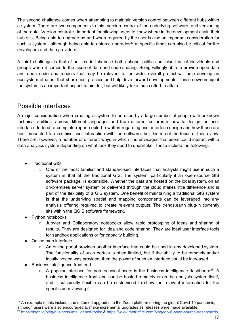The second challenge comes when attempting to maintain version control between different hubs within a system. There are two components to this: version control of the underlying software, and versioning of the data. Version control is important for allowing users to know where in the development chain their hub sits. Being able to upgrade as and when required by the user is also an important consideration for such a system - although being able to enforce upgrades<sup>22</sup> at specific times can also be critical for the developers and data providers.

A third challenge is that of politics: in this case both national politics but also that of individuals and groups when it comes to the issue of data and code sharing. Being willingly able to provide open data and open code and models that may be relevant to the wider overall project will help develop an ecosystem of users that share best practice and help drive forward developments. This co-ownership of the system is an important aspect to aim for, but will likely take much effort to attain.

### <span id="page-17-0"></span>Possible interfaces

A major consideration when creating a system to be used by a large number of people with unknown technical abilities, across different languages and from different cultures is how to design the user interface. Indeed, a complete report could be written regarding user interface design and how these are best presented to maximise user interaction with the software; but this is not the focus of this review. There are, however, a number of different ways in which it is envisaged that users could interact with a data analytics system depending on what task they need to undertake. These include the following:

- **Traditional GIS** 
	- One of the most familiar and standardised interfaces that analysts might use in such a system is that of the traditional GIS. The system, particularly if an open-source GIS software package, is extensible. Whether the data are hosted on the local system, on an on-premises server system or delivered through the cloud makes little difference and is part of the flexibility of a GIS system. One benefit of maintaining a traditional GIS system is that the underlying spatial and mapping components can be leveraged into any analysis offering required to create relevant outputs. The trends.earth plug-in currently sits within the QGIS software framework.
- Python notebooks
	- Jupyter and Collaboratory notebooks allow rapid prototyping of ideas and sharing of results. They are designed for idea and code sharing. They are ideal user interface tools for sandbox applications or for capacity building.
- Online map interface
	- An online portal provides another interface that could be used in any developed system. The functionality of such portals is often limited, but if the ability to be remotely and/or locally hosted was provided, then the power of such an interface could be increased.
- **Business intelligence front end** 
	- $\circ$  A popular interface for non-technical users is the business intelligence dashboard<sup>23</sup>. A business intelligence front end can be hosted remotely or on the analysis system itself, and if sufficiently flexible can be customised to show the relevant information for the specific user viewing it.

 $22$  An example of this includes the enforced upgrades to the Zoom platform during the global Covid-19 pandemic, although users were also encouraged to make incremental upgrades as releases were made available. <sup>23</sup> <https://logz.io/blog/business-intelligence-tools/> & <https://www.metricfire.com/blog/top-8-open-source-dashboards>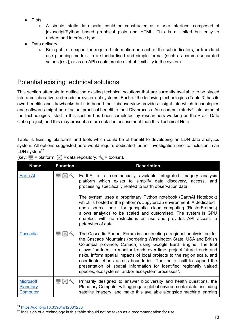- **Plots** 
	- $\circ$  A simple, static data portal could be constructed as a user interface, composed of javascript/Python based graphical plots and HTML. This is a limited but easy to understand interface type.
- Data delivery
	- Being able to export the required information on each of the sub-indicators, or from land use planning models, in a standardised and simple format (such as comma separated values [csv], or as an API) could create a lot of flexibility in the system.

### <span id="page-18-0"></span>Potential existing technical solutions

This section attempts to outline the existing technical solutions that are currently available to be placed into a collaborative and modular system of systems. Each of the following technologies (Table 3) has its own benefits and drawbacks but it is hoped that this overview provides insight into which technologies and softwares might be of actual practical benefit to the LDN process. An academic study<sup>24</sup> into some of the technologies listed in this section has been completed by researchers working on the Brazil Data Cube project, and this may present a more detailed assessment than this Technical Note.

Table 3: Existing platforms and tools which could be of benefit to developing an LDN data analytics system. All options suggested here would require dedicated further investigation prior to inclusion in an LDN system $^{25}$ 

| <b>Name</b>                                      | <b>Function</b> | <b>Description</b>                                                                                                                                                                                                                                                                                                                                                                                                                                                                                                                                                            |
|--------------------------------------------------|-----------------|-------------------------------------------------------------------------------------------------------------------------------------------------------------------------------------------------------------------------------------------------------------------------------------------------------------------------------------------------------------------------------------------------------------------------------------------------------------------------------------------------------------------------------------------------------------------------------|
| <b>Earth Al</b>                                  | $\blacksquare$  | EarthAI is a commercially available integrated imagery analysis<br>platform which exists to simplify data discovery, access, and<br>processing specifically related to Earth observation data.                                                                                                                                                                                                                                                                                                                                                                                |
|                                                  |                 | The system uses a proprietary Python notebook (EarthAI Notebook)<br>which is hosted in the platform's JupyterLab environment. A dedicated<br>open source toolkit for geospatial cloud computing (RasterFrames)<br>allows analytics to be scaled and customised. The system is GPU<br>enabled, with no restrictions on use and provides API access to<br>petabytes of data.                                                                                                                                                                                                    |
| <b>Cascadia</b>                                  | $\blacksquare$  | The Cascadia Partner Forum is constructing a regional analysis tool for<br>the Cascade Mountains (bordering Washington State, USA and British<br>Columbia province, Canada) using Google Earth Engine. The tool<br>allows "partners to monitor trends over time, project future trends and<br>risks, inform spatial impacts of local projects to the region scale, and<br>coordinate efforts across boundaries. The tool is built to support the<br>presentation of spatial information for identified regionally valued<br>species, ecosystems, and/or ecosystem processes". |
| <b>Microsoft</b><br>Planetary<br><b>Computer</b> | 早日へ             | Primarily designed to answer biodiversity and health questions, the<br>Planetary Computer will aggregate global environmental data, including<br>satellite imagery, and make this available alongside machine learning                                                                                                                                                                                                                                                                                                                                                        |

| (key: $\blacksquare$ = platform, $\blacksquare$ = data repository, $\blacktriangle$ = toolset). |  |
|-------------------------------------------------------------------------------------------------|--|

<sup>24</sup> <https://doi.org/10.3390/rs12081253>

<sup>&</sup>lt;sup>25</sup> Inclusion of a technology in this table should not be taken as a recommendation for use.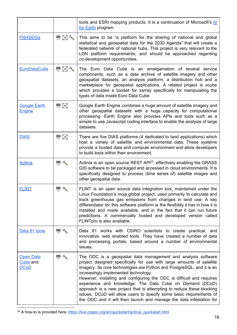|                                             |                | tools and ESRI mapping products. It is a continuation of Microsoft's AI<br>for Earth program.                                                                                                                                                                                                                                                                                                                                                                                                                                                                                                                        |
|---------------------------------------------|----------------|----------------------------------------------------------------------------------------------------------------------------------------------------------------------------------------------------------------------------------------------------------------------------------------------------------------------------------------------------------------------------------------------------------------------------------------------------------------------------------------------------------------------------------------------------------------------------------------------------------------------|
| <b>FIS4SDGs</b>                             | <b>HGK</b>     | This aims to be "a platform for the sharing of national and global<br>statistical and geospatial data for the 2030 Agenda" that will create a<br>federated network of national hubs. This project is very relevant to the<br>LDN platform requirements, and should be approached regarding<br>co-development opportunities.                                                                                                                                                                                                                                                                                          |
| <b>EuroDataCube</b>                         | <b>HGK</b>     | The Euro Data Cube is an amalgamation of several service<br>components, such as a data archive of satellite imagery and other<br>geospatial datasets, an analysis platform, a distribution hub and a<br>marketplace for geospatial applications. A related project is xcube<br>which provides a toolset for xarray specifically for manipulating the<br>types of data inside Euro Data Cube.                                                                                                                                                                                                                         |
| <b>Google Earth</b><br><b>Engine</b>        | $\blacksquare$ | Google Earth Engine combines a huge amount of satellite imagery and<br>other geospatial datasets with a huge capacity for computational<br>processing. Earth Engine also provides APIs and tools such as a<br>simple to use Javascript coding interface to enable the analysis of large<br>datasets.                                                                                                                                                                                                                                                                                                                 |
| <b>DIAS</b>                                 | <b>EG</b>      | There are five DIAS platforms (4 dedicated to land applications) which<br>host a variety of satellite and environmental data. These systems<br>provide a hosted data and compute environment and allow developers<br>to build tools within their environment.                                                                                                                                                                                                                                                                                                                                                        |
| <b>Actinia</b>                              |                | Actinia is an open source REST API <sup>26</sup> , effectively enabling the GRASS<br>GIS software to be packaged and accessed in cloud environments. It is<br>specifically designed to process (time series of) satellite images and<br>other geospatial data.                                                                                                                                                                                                                                                                                                                                                       |
| <b>FLINT</b>                                |                | FLINT is an open source data integration tool, maintained under the<br>Linux Foundation's moja.global project, used primarily to calculate and<br>track greenhouse gas emissions from changes in land use. A key<br>differentiator for this software platform is the flexibility it has in how it is<br>installed and made available, and in the fact that it can run future<br>predictions. A commercially hosted and developed version called<br>FLINTpro is also available.                                                                                                                                       |
| Data 61 tools                               |                | Data 61 works with CSIRO scientists to create practical, and<br>innovative, web enabled tools. They have created a number of data<br>and processing portals, based around a number of environmental<br>issues.                                                                                                                                                                                                                                                                                                                                                                                                       |
| <b>Open Data</b><br>Cube and<br><u>DCoD</u> |                | The ODC is a geospatial data management and analysis software<br>project designed specifically for use with large amounts of satellite<br>imagery. Its core technologies are Python and PostgreSQL, and it is an<br>increasingly implemented technology.<br>However, installing and configuring the ODC is difficult and requires<br>experience and knowledge. The Data Cube on Demand (DCoD)<br>approach is a new project that is attempting to reduce these blocking<br>issues. DCoD will allow users to specify some basic requirements of<br>the ODC and it will then launch and manage the data infestation for |

<sup>26</sup> A how-to is provided here: [https://live.osgeo.org/en/quickstart/actinia\\_quickstart.html](https://live.osgeo.org/en/quickstart/actinia_quickstart.html)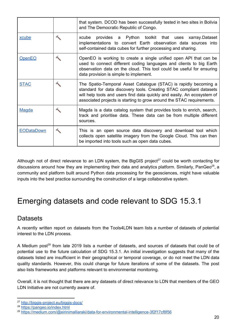|                   | that system. DCOD has been successfully tested in two sites in Bolivia<br>and The Democratic Republic of Congo.                                                                                                                                                                             |  |
|-------------------|---------------------------------------------------------------------------------------------------------------------------------------------------------------------------------------------------------------------------------------------------------------------------------------------|--|
| xcube             | xcube provides a Python toolkit that uses xarray.Dataset<br>implementations to convert Earth observation data sources into<br>self-contained data cubes for further processing and sharing.                                                                                                 |  |
| <b>OpenEO</b>     | OpenEO is working to create a single unified open API that can be<br>used to connect different coding languages and clients to big Earth<br>observation data on the cloud. This tool could be useful for ensuring<br>data provision is simple to implement.                                 |  |
| <b>STAC</b>       | The Spatio-Temporal Asset Catalogue (STAC) is rapidly becoming a<br>standard for data discovery tools. Creating STAC compliant datasets<br>will help tools and users find data quickly and easily. An ecosystem of<br>associated projects is starting to grow around the STAC requirements. |  |
| <b>Magda</b>      | Magda is a data catalog system that provides tools to enrich, search,<br>track and prioritise data. These data can be from multiple different<br>sources.                                                                                                                                   |  |
| <b>EODataDown</b> | This is an open source data discovery and download tool which<br>collects open satellite imagery from the Google Cloud. This can then<br>be imported into tools such as open data cubes.                                                                                                    |  |

Although not of direct relevance to an LDN system, the BigGIS project $27$  could be worth contacting for discussions around how they are implementing their data and analytics platform. Similarly, PanGeo<sup>28</sup>, a community and platform built around Python data processing for the geosciences, might have valuable inputs into the best practice surrounding the construction of a large collaborative system.

## <span id="page-20-0"></span>Emerging datasets and code relevant to SDG 15.3.1

### <span id="page-20-1"></span>**Datasets**

A recently written report on datasets from the Tools4LDN team lists a number of datasets of potential interest to the LDN process.

A Medium post<sup>29</sup> from late 2019 lists a number of datasets, and sources of datasets that could be of potential use to the future calculation of SDG 15.3.1. An initial investigation suggests that many of the datasets listed are insufficient in their geographical or temporal coverage, or do not meet the LDN data quality standards. However, this could change for future iterations of some of the datasets. The post also lists frameworks and platforms relevant to environmental monitoring.

Overall, it is not thought that there are any datasets of direct relevance to LDN that members of the GEO LDN Initiative are not currently aware of.

<sup>27</sup> <http://biggis-project.eu/biggis-docs/>

<sup>28</sup> <https://pangeo.io/index.html>

<sup>29</sup> <https://medium.com/@eirinimalliaraki/data-for-environmental-intelligence-3f2f17cf8f56>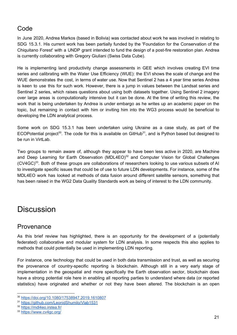### <span id="page-21-0"></span>Code

In June 2020, Andrea Markos (based in Bolivia) was contacted about work he was involved in relating to SDG 15.3.1. His current work has been partially funded by the 'Foundation for the Conservation of the Chiquitano Forest' with a UNDP grant intended to fund the design of a post-fire restoration plan. Andrea is currently collaborating with Gregory Giuliani (Swiss Data Cube).

He is implementing land productivity change assessments in GEE which involves creating EVI time series and calibrating with the Water Use Efficiency (WUE): the EVI shows the scale of change and the WUE demonstrates the cost, in terms of water use. Now that Sentinel 2 has a 4 year time series Andrea is keen to use this for such work. However, there is a jump in values between the Landsat series and Sentinel 2 series, which raises questions about using both datasets together. Using Sentinel 2 imagery over large areas is computationally intensive but it can be done. At the time of writing this review, the work that is being undertaken by Andrea is under embargo as he writes up an academic paper on the topic, but remaining in contact with him or inviting him into the WG3 process would be beneficial to developing the LDN analytical process.

Some work on SDG 15.3.1 has been undertaken using Ukraine as a case study, as part of the ECOPotential project<sup>30</sup>. The code for this is available on GitHub<sup>31</sup>, and is Python based but designed to be run in VirtLab.

Two groups to remain aware of, although they appear to have been less active in 2020, are Machine and Deep Learning for Earth Observation (MDL4EO) $32$  and Computer Vision for Global Challenges  $(CV4GC)^{33}$ . Both of these groups are collaborations of researchers looking to use various subsets of AI to investigate specific issues that could be of use to future LDN developments. For instance, some of the MDL4EO work has looked at methods of data fusion around different satellite sensors, something that has been raised in the WG2 Data Quality Standards work as being of interest to the LDN community.

## <span id="page-21-1"></span>**Discussion**

#### <span id="page-21-2"></span>Provenance

As this brief review has highlighted, there is an opportunity for the development of a (potentially federated) collaborative and modular system for LDN analysis. In some respects this also applies to methods that could potentially be used in implementing LDN reporting.

For instance, one technology that could be used in both data transmission and trust, as well as securing the provenance of country-specific reporting is blockchain. Although still in a very early stage of implementation in the geospatial and more specifically the Earth observation sector, blockchain does have a strong potential role here in enabling all reporting parties to understand where data (or reported statistics) have originated and whether or not they have been altered. The blockchain is an open

<sup>30</sup> <https://doi.org/10.1080/17538947.2019.1610807>

<sup>31</sup> <https://github.com/LeonidShumilo/Vlab1531>

<sup>32</sup> <https://mdl4eo.irstea.fr/>

<sup>33</sup> <https://www.cv4gc.org/>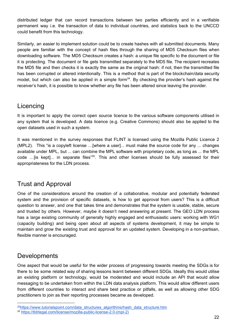distributed ledger that can record transactions between two parties efficiently and in a verifiable permanent way i.e. the transaction of data to individual countries, and statistics back to the UNCCD could benefit from this technology.

Similarly, an easier to implement solution could be to create hashes with all submitted documents. Many people are familiar with the concept of hash files through the sharing of MD5 Checksum files when downloading software. The MD5 Checksum creates a hash: a unique file specific to the document or file it is protecting. The document or file gets transmitted separately to the MD5 file. The recipient recreates the MD5 file and then checks it is exactly the same as the original hash: if not, then the transmitted file has been corrupted or altered intentionally. This is a method that is part of the blockchain/data security model, but which can also be applied in a simple form<sup>34</sup>. By checking the provider's hash against the receiver's hash, it is possible to know whether any file has been altered since leaving the provider.

#### <span id="page-22-0"></span>Licencing

It is important to apply the correct open source licence to the various software components utilised in any system that is developed. A data licence (e.g. Creative Commons) should also be applied to the open datasets used in such a system.

It was mentioned in the survey responses that FLINT is licensed using the Mozilla Public Licence 2 (MPL2). This "is a copyleft license …[where a user]... must make the source code for any ... changes available under MPL, but ... can combine the MPL software with proprietary code, as long as ... the MPL code ...[is kept]... in separate files" $35$ . This and other licenses should be fully assessed for their appropriateness for the LDN process.

#### <span id="page-22-1"></span>Trust and Approval

One of the considerations around the creation of a collaborative, modular and potentially federated system and the provision of specific datasets, is how to get approval from users? This is a difficult question to answer, and one that takes time and demonstrates that the system is usable, stable, secure and trusted by others. However, maybe it doesn't need answering at present. The GEO LDN process has a large existing community of generally highly engaged and enthusiastic users: working with WG1 (capacity building) and being open about all aspects of systems development, it may be simple to maintain and grow the existing trust and approval for an updated system. Developing in a non-partisan, flexible manner is encouraged.

#### <span id="page-22-2"></span>**Developments**

One aspect that would be useful for the wider process of progressing towards meeting the SDGs is for there to be some related way of sharing lessons learnt between different SDGs. Ideally this would utilise an existing platform or technology, would be moderated and would include an API that would allow messaging to be undertaken from within the LDN data analysis platform. This would allow different users from different countries to interact and share best practice or pitfalls, as well as allowing other SDG practitioners to join as their reporting processes became as developed.

<sup>&</sup>lt;sup>34</sup>[https://www.tutorialspoint.com/data\\_structures\\_algorithms/hash\\_data\\_structure.htm](https://www.tutorialspoint.com/data_structures_algorithms/hash_data_structure.htm) <sup>35</sup> [https://tldrlegal.com/license/mozilla-public-license-2.0-\(mpl-2\)](https://tldrlegal.com/license/mozilla-public-license-2.0-(mpl-2))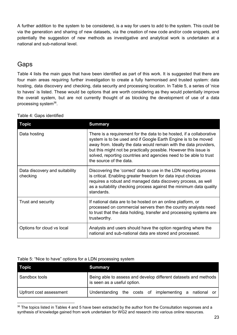A further addition to the system to be considered, is a way for users to add to the system. This could be via the generation and sharing of new datasets, via the creation of new code and/or code snippets, and potentially the suggestion of new methods as investigative and analytical work is undertaken at a national and sub-national level.

### <span id="page-23-0"></span>Gaps

Table 4 lists the main gaps that have been identified as part of this work. It is suggested that there are four main areas requiring further investigation to create a fully harmonised and trusted system: data hosting, data discovery and checking, data security and processing location. In Table 5, a series of 'nice to haves' is listed. These would be options that are worth considering as they would potentially improve the overall system, but are not currently thought of as blocking the development of use of a data processing system<sup>36</sup>.

| <b>Topic</b>                               | <b>Summary</b>                                                                                                                                                                                                                                                                                                                                                                   |
|--------------------------------------------|----------------------------------------------------------------------------------------------------------------------------------------------------------------------------------------------------------------------------------------------------------------------------------------------------------------------------------------------------------------------------------|
| Data hosting                               | There is a requirement for the data to be hosted, if a collaborative<br>system is to be used and if Google Earth Engine is to be moved<br>away from. Ideally the data would remain with the data providers,<br>but this might not be practically possible. However this issue is<br>solved, reporting countries and agencies need to be able to trust<br>the source of the data. |
| Data discovery and suitability<br>checking | Discovering the 'correct' data to use in the LDN reporting process<br>is critical. Enabling greater freedom for data input choices<br>requires a robust and managed data discovery process, as well<br>as a suitability checking process against the minimum data quality<br>standards.                                                                                          |
| Trust and security                         | If national data are to be hosted on an online platform, or<br>processed on commercial servers then the country analysts need<br>to trust that the data holding, transfer and processing systems are<br>trustworthy.                                                                                                                                                             |
| Options for cloud vs local                 | Analysts and users should have the option regarding where the<br>national and sub-national data are stored and processed.                                                                                                                                                                                                                                                        |

| Table 4: Gaps identified |  |  |  |
|--------------------------|--|--|--|
|--------------------------|--|--|--|

#### Table 5: "Nice to have" options for a LDN processing system

| <b>Topic</b>            | <b>Summary</b>                                                                                 |  |
|-------------------------|------------------------------------------------------------------------------------------------|--|
| Sandbox tools           | Being able to assess and develop different datasets and methods<br>is seen as a useful option. |  |
| Upfront cost assessment | Understanding the costs of implementing a<br>national or                                       |  |

<sup>&</sup>lt;sup>36</sup> The topics listed in Tables 4 and 5 have been extracted by the author from the Consultation responses and a synthesis of knowledge gained from work undertaken for WG2 and research into various online resources.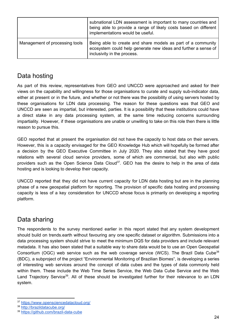|                                | subnational LDN assessment is important to many countries and<br>being able to provide a range of likely costs based on different<br>implementations would be useful. |
|--------------------------------|-----------------------------------------------------------------------------------------------------------------------------------------------------------------------|
| Management of processing tools | Being able to create and share models as part of a community<br>ecosystem could help generate new ideas and further a sense of<br>inclusivity in the process.         |

### <span id="page-24-0"></span>Data hosting

As part of this review, representatives from GEO and UNCCD were approached and asked for their views on the capability and willingness for those organisations to curate and supply sub-indicator data, either at present or in the future, and whether or not there was the possibility of using servers hosted by these organisations for LDN data processing. The reason for these questions was that GEO and UNCCD are seen as impartial, but interested, parties. It is a possibility that these institutions could have a direct stake in any data processing system, at the same time reducing concerns surrounding impartiality. However, if these organisations are unable or unwilling to take on this role then there is little reason to pursue this.

GEO reported that at present the organisation did not have the capacity to host data on their servers. However, this is a capacity envisaged for the GEO Knowledge Hub which will hopefully be formed after a decision by the GEO Executive Committee in July 2020. They also stated that they have good relations with several cloud service providers, some of which are commercial, but also with public providers such as the Open Science Data Cloud<sup>37</sup>. GEO has the desire to help in the area of data hosting and is looking to develop their capacity.

UNCCD reported that they did not have current capacity for LDN data hosting but are in the planning phase of a new geospatial platform for reporting. The provision of specific data hosting and processing capacity is less of a key consideration for UNCCD whose focus is primarily on developing a reporting platform.

### <span id="page-24-1"></span>Data sharing

The respondents to the survey mentioned earlier in this report stated that any system development should build on trends.earth without favouring any one specific dataset or algorithm. Submissions into a data processing system should strive to meet the minimum DQS for data providers and include relevant metadata. It has also been stated that a suitable way to share data would be to use an Open Geospatial Consortium (OGC) web service such as the web coverage service (WCS). The Brazil Data Cube<sup>38</sup> (BDC), a subproject of the project "Environmental Monitoring of Brazilian Biomes", is developing a series of interesting web services around the concept of data cubes and the types of data commonly held within them. These include the Web Time Series Service, the Web Data Cube Service and the Web Land Trajectory Service<sup>39</sup>. All of these should be investigated further for their relevance to an LDN system.

<sup>37</sup> <https://www.opensciencedatacloud.org/>

<sup>38</sup> <http://brazildatacube.org/>

<sup>39</sup> <https://github.com/brazil-data-cube>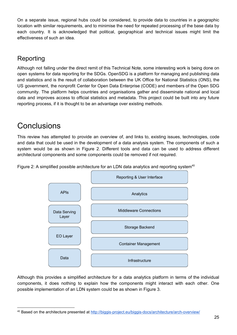On a separate issue, regional hubs could be considered, to provide data to countries in a geographic location with similar requirements, and to minimise the need for repeated processing of the base data by each country. It is acknowledged that political, geographical and technical issues might limit the effectiveness of such an idea.

## <span id="page-25-0"></span>Reporting

Although not falling under the direct remit of this Technical Note, some interesting work is being done on open systems for data reporting for the SDGs. OpenSDG is a platform for managing and publishing data and statistics and is the result of collaboration between the UK Office for National Statistics (ONS), the US government, the nonprofit Center for Open Data Enterprise (CODE) and members of the Open SDG community. The platform helps countries and organisations gather and disseminate national and local data and improves access to official statistics and metadata. This project could be built into any future reporting process, if it is thought to be an advantage over existing methods.

## <span id="page-25-1"></span>Conclusions

This review has attempted to provide an overview of, and links to, existing issues, technologies, code and data that could be used in the development of a data analysis system. The components of such a system would be as shown in Figure 2. Different tools and data can be used to address different architectural components and some components could be removed if not required.



Figure 2: A simplified possible architecture for an LDN data analytics and reporting system<sup>40</sup>

Although this provides a simplified architecture for a data analytics platform in terms of the individual components, it does nothing to explain how the components might interact with each other. One possible implementation of an LDN system could be as shown in Figure 3.

<sup>40</sup> Based on the architecture presented at <http://biggis-project.eu/biggis-docs/architecture/arch-overview/>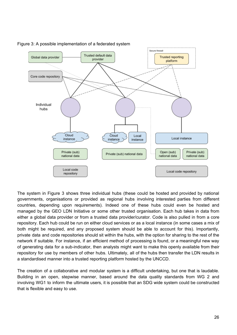

Figure 3: A possible implementation of a federated system

The system in Figure 3 shows three individual hubs (these could be hosted and provided by national governments, organisations or provided as regional hubs involving interested parties from different countries, depending upon requirements). Indeed one of these hubs could even be hosted and managed by the GEO LDN Initiative or some other trusted organisation. Each hub takes in data from either a global data provider or from a trusted data provider/curator. Code is also pulled in from a core repository. Each hub could be run on either cloud services or as a local instance (in some cases a mix of both might be required, and any proposed system should be able to account for this). Importantly, private data and code repositories should sit within the hubs, with the option for sharing to the rest of the network if suitable. For instance, if an efficient method of processing is found, or a meaningful new way of generating data for a sub-indicator, then analysts might want to make this openly available from their repository for use by members of other hubs. Ultimately, all of the hubs then transfer the LDN results in a standardised manner into a trusted reporting platform hosted by the UNCCD.

The creation of a collaborative and modular system is a difficult undertaking, but one that is laudable. Building in an open, stepwise manner, based around the data quality standards from WG 2 and involving WG1 to inform the ultimate users, it is possible that an SDG wide system could be constructed that is flexible and easy to use.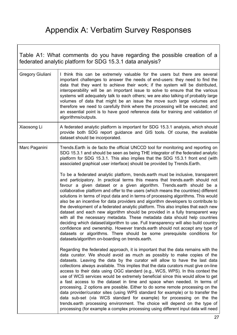# Appendix A: Verbatim Survey Responses

 $\overline{\phantom{a}}$ 

<span id="page-27-1"></span><span id="page-27-0"></span>

| Table A1: What comments do you have regarding the possible creation of a<br>federated analytic platform for SDG 15.3.1 data analysis? |                                                                                                                                                                                                                                                                                                                                                                                                                                                                                                                                                                                                                                                                                                                                                                                                                                                                                                                                                                                                  |  |
|---------------------------------------------------------------------------------------------------------------------------------------|--------------------------------------------------------------------------------------------------------------------------------------------------------------------------------------------------------------------------------------------------------------------------------------------------------------------------------------------------------------------------------------------------------------------------------------------------------------------------------------------------------------------------------------------------------------------------------------------------------------------------------------------------------------------------------------------------------------------------------------------------------------------------------------------------------------------------------------------------------------------------------------------------------------------------------------------------------------------------------------------------|--|
| Gregory Giuliani                                                                                                                      | I think this can be extremely valuable for the users but there are several<br>important challenges to answer the needs of end-users: they need to find the<br>data that they want to achieve their work; if the system will be distributed,<br>interoperability will be an important issue to solve to ensure that the various<br>systems will adequately talk to each others; we are also talking of probably large<br>volumes of data that might be an issue the move such large volumes and<br>therefore we need to carefully think where the processing will be executed; and<br>an essential point is to have good reference data for training and validation of<br>algorithms/outputs.                                                                                                                                                                                                                                                                                                     |  |
| Xiaosong Li                                                                                                                           | A federated analytic platform is important for SDG 15.3.1 analysis, which should<br>provide both SDG report guidance and GIS tools. Of course, the available<br>dataset should be incorporated.                                                                                                                                                                                                                                                                                                                                                                                                                                                                                                                                                                                                                                                                                                                                                                                                  |  |
| Marc Paganini                                                                                                                         | Trends. Earth is de facto the official UNCCD tool for monitoring and reporting on<br>SDG 15.3.1 and should be seen as being THE integrator of the federated analytic<br>platform for SDG 15.3.1. This also implies that the SDG 15.3.1 front end (with<br>associated graphical user interface) should be provided by Trends. Earth.<br>To be a federated analytic platform, trends.earth must be inclusive, transparent                                                                                                                                                                                                                                                                                                                                                                                                                                                                                                                                                                          |  |
|                                                                                                                                       | and participatory. In practical terms this means that trends.earth should not<br>favour a given dataset or a given algorithm. Trends.earth should be a<br>collaborative platform and offer to the users (which means the countries) different<br>solutions in terms of input data and in terms of processing algorithms. This would<br>also be an incentive for data providers and algorithm developers to contribute to<br>the development of a federated analytic platform. This also implies that each new<br>dataset and each new algorithm should be provided in a fully transparent way<br>with all the necessary metadata. These metadata data should help countries<br>deciding which dataset/algorithm to use. Full transparency will also build country<br>confidence and ownership. However trands earth should not accept any type of<br>datasets or algorithms. There should be some prerequisite conditions for<br>datasets/algorithm on-boarding on trends.earth.                 |  |
|                                                                                                                                       | Regarding the federated approach, it is important that the data remains with the<br>data curator. We should avoid as much as possibly to make copies of the<br>datasets. Leaving the data by the curator will allow to have the last data<br>collections always available. This implies that the data curators must give on-line<br>access to their data using OGC standard (e.g., WCS, WPS). In this context the<br>use of WCS services would be extremely beneficial since this would allow to get<br>a fast access to the dataset in time and space when needed. In terms of<br>processing, 2 options are possible. Either to do some remote processing on the<br>data provider/curator sites (using WPS standard for example) or to transfer the<br>data sub-set (via WCS standard for example) for processing on the the<br>trends earth processing environment. The choice will depend on the type of<br>processing (for example a complex processing using different input data will need |  |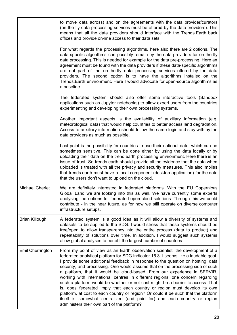|                        | to move data across) and on the agreements with the data provider/curators<br>(on-the-fly data processing services must be offered by the data providers). This<br>means that all the data providers should interface with the Trends. Earth back<br>offices and provide on-line access to their data sets.                                                                                                                                                                                                                                                                                                                                                                                                                                                                                                                                                                             |
|------------------------|-----------------------------------------------------------------------------------------------------------------------------------------------------------------------------------------------------------------------------------------------------------------------------------------------------------------------------------------------------------------------------------------------------------------------------------------------------------------------------------------------------------------------------------------------------------------------------------------------------------------------------------------------------------------------------------------------------------------------------------------------------------------------------------------------------------------------------------------------------------------------------------------|
|                        | For what regards the processing algorithms, here also there are 2 options. The<br>data-specific algorithms can possibly remain by the data providers for on-the-fly<br>data processing. This is needed for example for the data pre-processing. Here an<br>agreement must be found with the data providers if these data-specific algorithms<br>are not part of the on-the-fly data processing services offered by the data<br>providers. The second option is to have the algorithms installed on the<br>Trends. Earth environment. Here I would advocate for open-source algorithms as<br>a baseline.                                                                                                                                                                                                                                                                                 |
|                        | The federated system should also offer some interactive tools (Sandbox<br>applications such as Jupyter notebooks) to allow expert users from the countries<br>experimenting and developing their own processing systems.                                                                                                                                                                                                                                                                                                                                                                                                                                                                                                                                                                                                                                                                |
|                        | Another important aspects is the availability of auxiliary information (e.g.<br>meteorological data) that would help countries to better access land degradation.<br>Access to auxiliary information should follow the same logic and stay with by the<br>data providers as much as possible.                                                                                                                                                                                                                                                                                                                                                                                                                                                                                                                                                                                           |
|                        | Last point is the possibility for countries to use their national data, which can be<br>sometimes sensitive. This can be done either by using the data locally or by<br>uploading their data on the trend earth processing environment. Here there is an<br>issue of trust. So trends earth should provide all the evidence that the data when<br>uploaded is treated with all the privacy and security measures. This also implies<br>that trends earth must have a local component (desktop application) for the data<br>that the users don't want to upload on the cloud.                                                                                                                                                                                                                                                                                                            |
| <b>Michael Cherlet</b> | We are definitely interested in federated platforms. With the EU Copernicus<br>Global Land we are looking into this as well. We have currently some experts<br>analysing the options for federated open cloud solutions. Through this we could<br>contribute - in the near future, as for now we still operate on diverse computer<br>infrastructure setups.                                                                                                                                                                                                                                                                                                                                                                                                                                                                                                                            |
| <b>Brian Killough</b>  | A federated system is a good idea as it will allow a diversity of systems and<br>datasets to be applied to the SDG. I would stress that these systems should be<br>free/open to allow transparency into the entire process (data to product) and<br>repeatability of solutions over time. In addition, I would suggest such systems<br>allow global analyses to benefit the largest number of countries.                                                                                                                                                                                                                                                                                                                                                                                                                                                                                |
| Emil Cherrington       | From my point of view as an Earth observation scientist, the development of a<br>federated analytical platform for SDG Indicator 15.3.1 seems like a laudable goal.<br>I provide some additional feedback in response to the question on hosting, data<br>security, and processing. One would assume that on the processing side of such<br>a platform, that it would be cloud-based. From our experience in SERVIR,<br>working with international centres in different regions, one concern regarding<br>such a platform would be whether or not cost might be a barrier to access. That<br>is, does federated imply that each country or region must develop its own<br>platform, at cost to each country or region? Or could it be such that the platform<br>itself is somewhat centralized (and paid for) and each country or region<br>administers their own part of the platform? |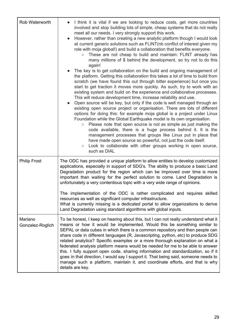| Rob Waterworth              | I think it is vital if we are looking to reduce costs, get more countries<br>involved and stop building lots of simple, cheap systems that do not really<br>meet all our needs. I very strongly support this work.<br>However, rather than creating a new analytic platform though I would look<br>at current generic solutions such as FLINT (nb conflict of interest given my<br>role with moja global!) and build a collaboration that benefits everyone.<br>These are not cheap to build and maintain: FLINT already has<br>$\circ$<br>many millions of \$ behind the development, so try not to do this<br>again!<br>The key is to get collaboration on the build and ongoing management of<br>the platform. Getting this collaboration this takes a lot of time to build from<br>scratch (we have found this out through bitter experience) but once you<br>start to get traction it moves more quickly. As such, try to work with an<br>existing system and build on the experience and collaborative processes.<br>This will reduce development time, increase reliability and use.<br>Open source will be key, but only if the code is well managed through an<br>existing open source project or organisation. There are lots of different<br>options for doing this: for example moja global is a project under Linux<br>Foundation while the Global Earthquake model is its own organisation.<br>Please note that open source is not as simple as just making the<br>$\circ$<br>code available, there is a huge process behind it. It is the<br>management processes that groups like Linux put in place that |
|-----------------------------|---------------------------------------------------------------------------------------------------------------------------------------------------------------------------------------------------------------------------------------------------------------------------------------------------------------------------------------------------------------------------------------------------------------------------------------------------------------------------------------------------------------------------------------------------------------------------------------------------------------------------------------------------------------------------------------------------------------------------------------------------------------------------------------------------------------------------------------------------------------------------------------------------------------------------------------------------------------------------------------------------------------------------------------------------------------------------------------------------------------------------------------------------------------------------------------------------------------------------------------------------------------------------------------------------------------------------------------------------------------------------------------------------------------------------------------------------------------------------------------------------------------------------------------------------------------------------------------------------------------------------|
|                             | have made open source so powerful, not just the code itself.<br>Look to collaborate with other groups working in open source,<br>$\bigcirc$<br>such as DIAL                                                                                                                                                                                                                                                                                                                                                                                                                                                                                                                                                                                                                                                                                                                                                                                                                                                                                                                                                                                                                                                                                                                                                                                                                                                                                                                                                                                                                                                               |
| <b>Philip Frost</b>         | The ODC has provided a unique platform to allow entities to develop customized<br>applications, especially in support of SDG's. The ability to produce a basic Land<br>Degradation product for the region which can be improved over time is more<br>important than waiting for the perfect solution to come. Land Degradation is<br>unfortunately a very contentious topic with a very wide range of opinions.                                                                                                                                                                                                                                                                                                                                                                                                                                                                                                                                                                                                                                                                                                                                                                                                                                                                                                                                                                                                                                                                                                                                                                                                           |
|                             | The implementation of the ODC is rather complicated and requires skilled<br>resources as well as significant computer infrastructure.<br>What is currently missing is a dedicated portal to allow organizations to derive<br>Land Degradation using standard algorithms with global inputs.                                                                                                                                                                                                                                                                                                                                                                                                                                                                                                                                                                                                                                                                                                                                                                                                                                                                                                                                                                                                                                                                                                                                                                                                                                                                                                                               |
| Mariano<br>Gonzalez-Roglich | To be honest, I keep on hearing about this, but I can not really understand what it<br>means or how it would be implemented. Would this be something similar to<br>SEPAL or data cubes in which there is a common repository and then people can<br>share code in different languages (R, Javascripting, python, etc) to produce SDG<br>related analytics? Specific examples or a more thorough explanation on what a<br>federated analysis platform means would be needed for me to be able to answer<br>this. I fully support open code, sharing information and standardization, so if it<br>goes in that direction, I would say I support it. That being said, someone needs to<br>manage such a platform, maintain it, and coordinate efforts, and that is why<br>details are key.                                                                                                                                                                                                                                                                                                                                                                                                                                                                                                                                                                                                                                                                                                                                                                                                                                   |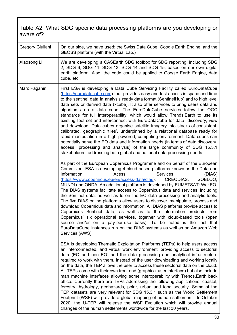#### <span id="page-30-0"></span>Table A2: What SDG specific data processing platforms are you developing or aware of?

| Gregory Giuliani | On our side, we have used: the Swiss Data Cube, Google Earth Engine, and the<br>GEOSS platform (with the Virtual Lab.)                                                                                                                                                                                                                                                                                                                                                                                                                                                                                                                                                                                                                                                                                                                                                                                                                                                                                                                                                                                                                                                                                                                                                                                                                                                                                                                                                                                                                                                                                                                                                                                                                                                                                                                                                                                                                                                                                                                                                                                                       |
|------------------|------------------------------------------------------------------------------------------------------------------------------------------------------------------------------------------------------------------------------------------------------------------------------------------------------------------------------------------------------------------------------------------------------------------------------------------------------------------------------------------------------------------------------------------------------------------------------------------------------------------------------------------------------------------------------------------------------------------------------------------------------------------------------------------------------------------------------------------------------------------------------------------------------------------------------------------------------------------------------------------------------------------------------------------------------------------------------------------------------------------------------------------------------------------------------------------------------------------------------------------------------------------------------------------------------------------------------------------------------------------------------------------------------------------------------------------------------------------------------------------------------------------------------------------------------------------------------------------------------------------------------------------------------------------------------------------------------------------------------------------------------------------------------------------------------------------------------------------------------------------------------------------------------------------------------------------------------------------------------------------------------------------------------------------------------------------------------------------------------------------------------|
| Xiaosong Li      | We are developing a CASEarth SDG toolbox for SDG reporting, including SDG<br>2, SDG 6, SDG 11, SDG 13, SDG 14 and SDG 15, based on our own digital<br>earth platform. Also, the code could be applied to Google Earth Engine, data<br>cube, etc.                                                                                                                                                                                                                                                                                                                                                                                                                                                                                                                                                                                                                                                                                                                                                                                                                                                                                                                                                                                                                                                                                                                                                                                                                                                                                                                                                                                                                                                                                                                                                                                                                                                                                                                                                                                                                                                                             |
| Marc Paganini    | First ESA is developing a Data Cube Servicing Facility called EuroDataCube<br>(https://eurodatacube.com) that provides easy and fast access in space and time<br>to the sentinel data in analysis ready data format (SentinelHub) and to high level<br>data sets or derived data (xcube). It also offer services to bring users data and<br>algorithms on a data cube. The EuroDataCube services follow the OGC<br>standards for full interoperability, which would allow Trends. Earth to use its<br>existing tool set and interconnect with EuroDataCube for data discovery, view<br>and download. Data cubes organise satellite imagery into stacks of consistent,<br>calibrated, geographic 'tiles', underpinned by a relational database ready for<br>rapid manipulation in a high powered, computing environment. Data cubes can<br>potentially serve the EO data and information needs (in terms of data discovery,<br>access, processing and analysis) of the large community of SDG 15.3.1<br>stakeholders, addressing both global and national data processing needs.<br>As part of the European Copernicus Programme and on behalf of the European<br>Commision, ESA is developing 4 cloud-based platforms known as the Data and<br>Information<br>Acess<br><b>Services</b><br>(DIAS)<br>(https://www.copernicus.eu/en/access-data/dias);<br>CREODIAS,<br>SOBLOO,<br>MUNDI and ONDA. An additional platform is developed by EUMETSAT: WekEO.<br>The DIAS systems facilitate access to Copernicus data and services, including<br>the Sentinel data, as well as to on-line EO data processing and analytic tools.<br>The five DIAS online platforms allow users to discover, manipulate, process and<br>download Copernicus data and information. All DIAS platforms provide access to<br>Copernicus Sentinel data, as well as to the information products from<br>Copernicus' six operational services, together with cloud-based tools (open<br>source and/or on a pay-per-use basis). To be noted is the fact that<br>EuroDataCube instances run on the DIAS systems as well as on Amazon Web<br>Services (AWS) |
|                  | ESA is developing Thematic Exploitation Platforms (TEPs) to help users access<br>an interconnected, and virtual work environment, providing access to sectorial<br>data (EO and non EO) and the data processing and analytical infrastructure<br>required to work with them. Instead of the user downloading and working locally<br>on the data, the TEP allows the user to access these sectorial data on the cloud.<br>All TEPs come with their own front end (graphical user interface) but also include<br>man machine interfaces allowing some interoperability with Trends. Earth back<br>office. Currently there are TEPs addressing the following applications: coastal,<br>forestry, hydrology, geohazards, polar, urban and food security. Some of the<br>TEP datasets are very relevant for SDG 15.3.1 such as the World Settlement<br>Footprint (WSF) will provide a global mapping of human settlement. In October<br>2020, the U-TEP will release the WSF Evolution which will provide annual<br>changes of the human settlements worldwide for the last 30 years.                                                                                                                                                                                                                                                                                                                                                                                                                                                                                                                                                                                                                                                                                                                                                                                                                                                                                                                                                                                                                                             |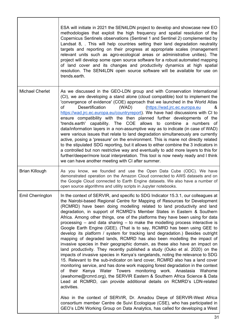|                        | ESA will initiate in 2021 the SEN4LDN project to develop and showcase new EO<br>methodologies that exploit the high frequency and spatial resolution of the<br>Copernicus Sentinels observations (Sentinel 1 and Sentinel 2) complemented by<br>Landsat 8, . This will help countries setting their land degradation neutrality<br>targets and reporting on their progress at appropriate scales (management<br>relevant units such as agro-ecological areas or administrative unities). The<br>project will develop some open source software for a robust automated mapping<br>of land cover and its changes and productivity dynamics at high spatial<br>resolution. The SEN4LDN open source software will be available for use on<br>trends.earth.                                                                                                                                                                                                                                                                                                                                                                                                                                                                                                                                                                                                                                                                                                                                                                                                                                                                               |
|------------------------|--------------------------------------------------------------------------------------------------------------------------------------------------------------------------------------------------------------------------------------------------------------------------------------------------------------------------------------------------------------------------------------------------------------------------------------------------------------------------------------------------------------------------------------------------------------------------------------------------------------------------------------------------------------------------------------------------------------------------------------------------------------------------------------------------------------------------------------------------------------------------------------------------------------------------------------------------------------------------------------------------------------------------------------------------------------------------------------------------------------------------------------------------------------------------------------------------------------------------------------------------------------------------------------------------------------------------------------------------------------------------------------------------------------------------------------------------------------------------------------------------------------------------------------------------------------------------------------------------------------------------------------|
| <b>Michael Cherlet</b> | As we discussed in the GEO-LDN group and with Conservation International<br>(CI), we are developing a stand alone (cloud compatible) tool to implement the<br>'convergence of evidence' (COE) approach that we launched in the World Atlas<br>of<br>Desertification<br>(WAD)<br>(https://wad.jrc.ec.europa.eu<br>&<br>https://wad.jrc.ec.europa.eu/countryreport). We have had discussions with CI to<br>ensure compatibility with the then planned further developments of the<br>'trends.earth' capability. The COE allows to combine a numbers of<br>data/information layers in a non-assumptive way as to indicate (in case of WAD)<br>were various issues that relate to land degradation simultaneously are currently<br>active, posing a 'pressure' on the environment. This is mane not directly related<br>to the stipulated SDG reporting, but it allows to either combine the 3 indicators in<br>a controlled but non restrictive way and eventually to add more layers to this for<br>further/deeper/more local interpretation. This tool is now newly ready and I think<br>we can have another meeting with CI after summer.                                                                                                                                                                                                                                                                                                                                                                                                                                                                                            |
| <b>Brian Killough</b>  | As you know, we founded and use the Open Data Cube (ODC). We have<br>demonstrated operation on the Amazon Cloud connected to AWS datasets and on<br>the Google Cloud connected to Earth Engine datasets. We also have a number of<br>open source algorithms and utility scripts in Jupyter notebooks.                                                                                                                                                                                                                                                                                                                                                                                                                                                                                                                                                                                                                                                                                                                                                                                                                                                                                                                                                                                                                                                                                                                                                                                                                                                                                                                                |
| Emil Cherrington       | In the context of SERVIR, and specific to SDG Indicator 15.3.1, our colleagues at<br>the Nairobi-based Regional Centre for Mapping of Resources for Development<br>(RCMRD) have been doing modelling related to land productivity and land<br>degradation, in support of RCMRD's Member States in Eastern & Southern<br>Africa. Among other things, one of the platforms they have been using for data<br>processing $-$ and data sharing $-$ to make the modelling process interactive is<br>Google Earth Engine (GEE). (That is to say, RCMRD has been using GEE to<br>develop its platform / system for tracking land degradation.) Besides outright<br>mapping of degraded lands, RCMRD has also been modelling the impact of<br>invasive species in their geographic domain, as these also have an impact on<br>land productivity. They recently published a study (Ouko et al. 2020) on the<br>impacts of invasive species in Kenya's rangelands, noting the relevance to SDG<br>15. Relevant to the sub-indicator on land cover, RCMRD also has a land cover<br>monitoring service, and has done work mapping forest degradation in the context<br>their Kenya Water Towers monitoring work. Anastasia Wahome<br>of<br>(awahome@rcmrd.org), the SERVIR Eastern & Southern Africa Science & Data<br>Lead at RCMRD, can provide additional details on RCMRD's LDN-related<br>activities.<br>Also in the context of SERVIR, Dr. Amadou Dieye of SERVIR-West Africa<br>consortium member Centre de Suivi Ecologique (CSE), who has participated in<br>GEO's LDN Working Group on Data Analytics, has called for developing a West |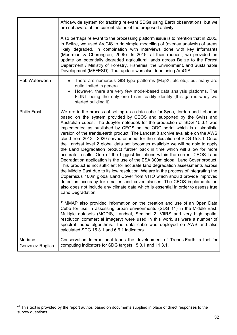|                             | Africa-wide system for tracking relevant SDGs using Earth observations, but we<br>are not aware of the current status of the proposed activity.<br>Also perhaps relevant to the processing platform issue is to mention that in 2005,<br>in Belize, we used ArcGIS to do simple modelling of (overlay analysis) of areas<br>likely degraded, in combination with interviews done with key informants<br>(Meerman & Cherrington, 2005). In 2019, at their request, we provided an                                                                                                                                                                                                                                                                                                                                                                                                                                                                                                                                                                                                                                                                                                                                                                                                                                                                                                                                                                                                                                                                                                                                                                                                  |
|-----------------------------|-----------------------------------------------------------------------------------------------------------------------------------------------------------------------------------------------------------------------------------------------------------------------------------------------------------------------------------------------------------------------------------------------------------------------------------------------------------------------------------------------------------------------------------------------------------------------------------------------------------------------------------------------------------------------------------------------------------------------------------------------------------------------------------------------------------------------------------------------------------------------------------------------------------------------------------------------------------------------------------------------------------------------------------------------------------------------------------------------------------------------------------------------------------------------------------------------------------------------------------------------------------------------------------------------------------------------------------------------------------------------------------------------------------------------------------------------------------------------------------------------------------------------------------------------------------------------------------------------------------------------------------------------------------------------------------|
|                             | update on potentially degraded agricultural lands across Belize to the Forest<br>Department / Ministry of Forestry, Fisheries, the Environment, and Sustainable<br>Development (MFFESD). That update was also done using ArcGIS.                                                                                                                                                                                                                                                                                                                                                                                                                                                                                                                                                                                                                                                                                                                                                                                                                                                                                                                                                                                                                                                                                                                                                                                                                                                                                                                                                                                                                                                  |
| Rob Waterworth              | There are numerous GIS type platforms (MapX, etc etc): but many are<br>$\bullet$<br>quite limited in general<br>However, there are very few model-based data analysis platforms. The<br>FLINT being the only one I can readily identify (this gap is whey we<br>started building it)                                                                                                                                                                                                                                                                                                                                                                                                                                                                                                                                                                                                                                                                                                                                                                                                                                                                                                                                                                                                                                                                                                                                                                                                                                                                                                                                                                                              |
| <b>Philip Frost</b>         | We are in the process of setting up a data cube for Syria, Jordan and Lebanon<br>based on the system provided by CEOS and supported by the Swiss and<br>Australian cubes. The Jupyter notebook for the production of SDG 15.3.1 was<br>implemented as published by CEOS on the ODC portal which is a simplistic<br>version of the trends earth product. The Landsat 8 archive available on the AWS<br>cloud from 2013 - 2020 served as input for the calculation of SDG 15.3.1. Once<br>the Landsat level 2 global data set becomes available we will be able to apply<br>the Land Degradation product further back in time which will allow for more<br>accurate results. One of the biggest limitations within the current CEOS Land<br>Degradation application is the use of the ESA 300m global Land Cover product.<br>This product is not sufficient for accurate land degradation assessments across<br>the Middle East due to its low resolution. We are in the process of integrating the<br>Copernicus 100m global Land Cover from VITO which should provide improved<br>detection accuracy for smaller land cover classes. The CEOS implementation<br>also does not include any climate data which is essential in order to assess true<br>Land Degradation.<br><sup>41</sup> iMMAP also provided information on the creation and use of an Open Data<br>Cube for use in assessing urban environments (SDG 11) in the Middle East.<br>Multiple datasets (MODIS, Landsat, Sentinel 2, VIIRS and very high spatial<br>resolution commercial imagery) were used in this work, as were a number of<br>spectral index algorithms. The data cube was deployed on AWS and also |
| Mariano<br>Gonzalez-Roglich | calculated SDG 15.3.1 and 6.6.1 indicators.<br>Conservation International leads the development of Trends. Earth, a tool for<br>computing indicators for SDG targets 15.3.1 and 11.3.1.                                                                                                                                                                                                                                                                                                                                                                                                                                                                                                                                                                                                                                                                                                                                                                                                                                                                                                                                                                                                                                                                                                                                                                                                                                                                                                                                                                                                                                                                                           |

<sup>&</sup>lt;sup>41</sup> This text is provided by the report author, based on documents supplied in place of direct responses to the survey questions.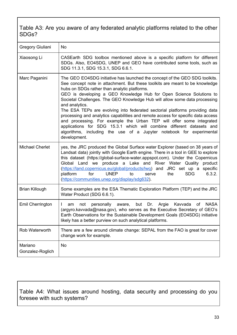#### <span id="page-33-0"></span>Table A3: Are you aware of any federated analytic platforms related to the other SDGs?

| Gregory Giuliani            | No                                                                                                                                                                                                                                                                                                                                                                                                                                                                                                                                                                                                                                                                                                                                                                                             |
|-----------------------------|------------------------------------------------------------------------------------------------------------------------------------------------------------------------------------------------------------------------------------------------------------------------------------------------------------------------------------------------------------------------------------------------------------------------------------------------------------------------------------------------------------------------------------------------------------------------------------------------------------------------------------------------------------------------------------------------------------------------------------------------------------------------------------------------|
| Xiaosong Li                 | CASEarth SDG toolbox mentioned above is a specific platform for different<br>SDGs. Also, EO4SDG, UNEP and GEO have contributed some tools, such as<br>SDG 11.3.1, SDG 15.3.1, SDG 6.6.1.                                                                                                                                                                                                                                                                                                                                                                                                                                                                                                                                                                                                       |
| Marc Paganini               | The GEO EO4SDG initiative has launched the concept of the GEO SDG toolkits.<br>See concept note in attachment. But these toolkits are meant to be knowledge<br>hubs on SDGs rather than analytic platforms.<br>GEO is developing a GEO Knowledge Hub for Open Science Solutions to<br>Societal Challenges. The GEO Knowledge Hub will allow some data processing<br>and analytics.<br>The ESA TEPs are evolving into federated sectorial platforms providing data<br>processing and analytics capabilities and remote access for specific data access<br>and processing. For example the Urban TEP will offer some integrated<br>applications for SDG 15.3.1 which will combine different datasets and<br>algorithms, including the use of a Jupyter notebook for experimental<br>development. |
| <b>Michael Cherlet</b>      | yes, the JRC produced the Global Surface water Explorer (based on 38 years of<br>Landsat data) jointly with Google Earth engine. There in a tool in GEE to explore<br>this dataset (https://global-surface-water.appspot.com). Under the Copernicus<br>Global Land we produce a Lake and River Water Quality product<br>(https://land.copernicus.eu/global/products/lwg) and JRC set up a specific<br>for<br><b>UNEP</b><br>platform<br><b>SDG</b><br>6.3.2.<br>to<br>serve<br>the<br>(https://communities.unep.org/display/sdg632).                                                                                                                                                                                                                                                           |
| <b>Brian Killough</b>       | Some examples are the ESA Thematic Exploration Platform (TEP) and the JRC<br>Water Product (SDG 6.6.1).                                                                                                                                                                                                                                                                                                                                                                                                                                                                                                                                                                                                                                                                                        |
| Emil Cherrington            | but Dr. Argie<br>Kavvada of<br><b>NASA</b><br>not<br>personally<br>aware,<br>am<br>(argyro.kavvada@nasa.gov), who serves as the Executive Secretary of GEO's<br>Earth Observations for the Sustainable Development Goals (EO4SDG) initiative<br>likely has a better purview on such analytical platforms.                                                                                                                                                                                                                                                                                                                                                                                                                                                                                      |
| Rob Waterworth              | There are a few around climate change: SEPAL from the FAO is great for cover<br>change work for example.                                                                                                                                                                                                                                                                                                                                                                                                                                                                                                                                                                                                                                                                                       |
| Mariano<br>Gonzalez-Roglich | No                                                                                                                                                                                                                                                                                                                                                                                                                                                                                                                                                                                                                                                                                                                                                                                             |

<span id="page-33-1"></span>Table A4: What issues around hosting, data security and processing do you foresee with such systems?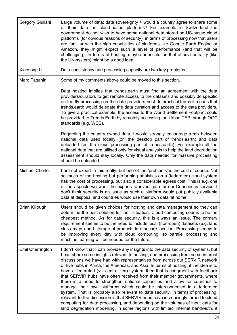| Gregory Giuliani        | Large volume of data; data sovereignty > would a country agree to share some<br>of their data on cloud-based platforms? For example in Switzerland the<br>government do not wish to have some national data stored on US-based cloud<br>platforms (for obvious reasons of security); in terms of processing now that users<br>are familiar with the high capabilities of platforms like Google Earth Engine or<br>Amazon, they might expect such a level of performance (and that will be<br>challenging). In terms of hosting, maybe an institution that offers neutrality (like<br>the UN-system) might be a good idea.                                                                                                                                                                                                                                                                                                                                                                                               |
|-------------------------|-------------------------------------------------------------------------------------------------------------------------------------------------------------------------------------------------------------------------------------------------------------------------------------------------------------------------------------------------------------------------------------------------------------------------------------------------------------------------------------------------------------------------------------------------------------------------------------------------------------------------------------------------------------------------------------------------------------------------------------------------------------------------------------------------------------------------------------------------------------------------------------------------------------------------------------------------------------------------------------------------------------------------|
| Xiaosong Li             | Data consistency and processing capacity are two key problems.                                                                                                                                                                                                                                                                                                                                                                                                                                                                                                                                                                                                                                                                                                                                                                                                                                                                                                                                                          |
| Marc Paganini           | Some of my comments above could be moved to this section.                                                                                                                                                                                                                                                                                                                                                                                                                                                                                                                                                                                                                                                                                                                                                                                                                                                                                                                                                               |
|                         | Data hosting implies that trends earth must find an agreement with the data<br>providers/curators to get remote access to the datasets and possibly do specific<br>on-the-fly processing on the data providers host. In practical terms it means that<br>trends earth would delegate the data curation and access to the data providers.<br>To give a practical example, the access to the World Settlement Footprint could<br>be provided to Trends. Earth by remotely accessing the Urban TEP through OGC<br>standards (e.g. WCS).                                                                                                                                                                                                                                                                                                                                                                                                                                                                                    |
|                         | Regarding the country owned data, I would strongly encourage a mix between<br>national data used locally (on the desktop part of trends.earth) and data<br>uploaded (on the cloud processing part of trends.earth). For example all the<br>national data that are utilised only for visual analysis to help the land degradation<br>assessment should stay locally. Only the data needed for massive processing<br>should be uploaded.                                                                                                                                                                                                                                                                                                                                                                                                                                                                                                                                                                                  |
| <b>Michael Cherlet</b>  | I am not expert in this really, but one of the 'problems' is the cost of course. Not<br>so much of the hosting but performing analytics on a (federated) cloud system<br>has the cost of processing, but also a considerable egress cost. This is e.g. one<br>of the aspects we want the experts to investigate for our Copernicus service. I<br>don't think security is an issue as such a platform would put publicly available<br>data at disposal and countries would use their own data 'at home'.                                                                                                                                                                                                                                                                                                                                                                                                                                                                                                                 |
| <b>Brian Killough</b>   | Users should be given choices for hosting and data management so they can<br>determine the best solution for their situation. Cloud computing seems to be the<br>cheapest method. As for data security, this is always an issue. The primary<br>requirement seems to be the need to include local (non-open) datasets (e.g. land<br>class maps) and storage of products in a secure location. Processing seems to<br>be improving every day with cloud computing, so parallel processing and<br>machine learning will be needed for the future.                                                                                                                                                                                                                                                                                                                                                                                                                                                                         |
| <b>Emil Cherrington</b> | I don't know that I can provide any insights into the data security of systems, but<br>I can share some insights relevant to hosting, and processing from some internal<br>discussions we have had with representatives from across our SERVIR network<br>of five hubs in Africa, the Americas, and Asia. In terms of hosting, if the idea is to<br>have a federated (vs. centralized) system, then that is congruent with feedback<br>that SERVIR hubs have often received from their member governments, where<br>there is a need to strengthen national capacities and allow for countries to<br>manage their own platforms which could be interconnected in a federated<br>system. That is probably also relevant to data security. In terms of processing,<br>relevant to the discussion is that SERVIR hubs have increasingly turned to cloud<br>computing for data processing, and depending on the volumes of input data for<br>land degradation modelling, in some regions with limited Internet bandwidth, it |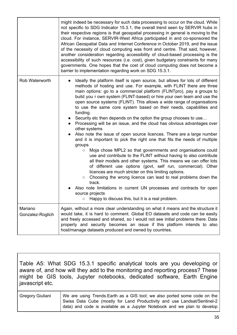|                             | might indeed be necessary for such data processing to occur on the cloud. While<br>not specific to SDG Indicator 15.3.1, the overall trend seen by SERVIR hubs in<br>their respective regions is that geospatial processing in general is moving to the<br>cloud. For instance, SERVIR-West Africa participated in and co-sponsored the<br>African Geospatial Data and Internet Conference in October 2019, and the issue<br>of the necessity of cloud computing was front and centre. That said, however,<br>another consideration regarding accessibility of cloud-based processing is the<br>accessibility of such resources (i.e. cost), given budgetary constraints for many<br>governments. One hopes that the cost of cloud computing does not become a<br>barrier to implementation regarding work on SDG 15.3.1.                                                                                                                                                                                                                                                                                                                                                                                                                                                                                                                                                                                               |
|-----------------------------|-------------------------------------------------------------------------------------------------------------------------------------------------------------------------------------------------------------------------------------------------------------------------------------------------------------------------------------------------------------------------------------------------------------------------------------------------------------------------------------------------------------------------------------------------------------------------------------------------------------------------------------------------------------------------------------------------------------------------------------------------------------------------------------------------------------------------------------------------------------------------------------------------------------------------------------------------------------------------------------------------------------------------------------------------------------------------------------------------------------------------------------------------------------------------------------------------------------------------------------------------------------------------------------------------------------------------------------------------------------------------------------------------------------------------|
| Rob Waterworth              | Ideally the platform itself is open source, but allows for lots of different<br>methods of hosting and use. For example, with FLINT there are three<br>main options: go to a commercial platform (FLINTpro), pay a groups to<br>build you r own system (FLINT-based) or hire your own team and use the<br>open source systems (FLINT). This allows a wide range of organisations<br>to use the same core system based on their needs, capabilities and<br>funding.<br>• Security etc then depends on the option the group chooses to use<br>Processing will be an issue, and the cloud has obvious advantages over<br>$\bullet$<br>other systems<br>Also note the issue of open source licences. There are a large number<br>and it is important to pick the right one that fits the needs of multiple<br>groups<br>Moja chose MPL2 so that governments and organisations could<br>$\circ$<br>use and contribute to the FLINT without having to also contribute<br>all their models and other systems. This means we can offer lots<br>of different use options (govt, self run, commercial). Other<br>licences are much stricter on this limiting options.<br>Choosing the wrong licence can lead to real problems down the<br>$\circ$<br>track.<br>Also note limitations in current UN processes and contracts for open<br>source projects<br>Happy to discuss this, but it is a real problem.<br>$\circlearrowright$ |
| Mariano<br>Gonzalez-Roglich | Again, without a more clear understanding on what it means and the structure it<br>would take, it is hard to comment. Global EO datasets and code can be easily<br>and freely accessed and shared, so I would not see initial problems there. Data<br>property and security becomes an issue if this platform intends to also<br>host/manage datasets produced and owned by countries.                                                                                                                                                                                                                                                                                                                                                                                                                                                                                                                                                                                                                                                                                                                                                                                                                                                                                                                                                                                                                                  |

<span id="page-35-0"></span>Table A5: What SDG 15.3.1 specific analytical tools are you developing or aware of, and how will they add to the monitoring and reporting process? These might be GIS tools, Jupyter notebooks, dedicated software, Earth Engine javascript etc.

| Gregory Giuliani | . We are using Trends.Earth as a GIS tool; we also ported some code on the $\mathsf I$ |
|------------------|----------------------------------------------------------------------------------------|
|                  | Swiss Data Cube (mostly for Land Productivity and use Landsat/Sentinel-2               |
|                  | data) and code is available as a Jupyter Notebook and we plan to develop               |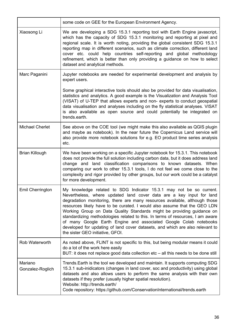|                             | some code on GEE for the European Environment Agency.                                                                                                                                                                                                                                                                                                                                                                                                                                                                                                                                                                                                        |
|-----------------------------|--------------------------------------------------------------------------------------------------------------------------------------------------------------------------------------------------------------------------------------------------------------------------------------------------------------------------------------------------------------------------------------------------------------------------------------------------------------------------------------------------------------------------------------------------------------------------------------------------------------------------------------------------------------|
| Xiaosong Li                 | We are developing a SDG 15.3.1 reporting tool with Earth Engine javascript,<br>which has the capacity of SDG 15.3.1 monitoring and reporting at pixel and<br>regional scale. It is worth noting, providing the global consistent SDG 15.3.1<br>reporting map in different scenarios, such as climate correction, different land<br>cover etc. could help countries self-reporting and global methodology<br>refinement, which is better than only providing a guidance on how to select<br>dataset and analytical methods.                                                                                                                                   |
| Marc Paganini               | Jupyter notebooks are needed for experimental development and analysis by<br>expert users.                                                                                                                                                                                                                                                                                                                                                                                                                                                                                                                                                                   |
|                             | Some graphical interactive tools should also be provided for data visualisation,<br>statistics and analytics. A good example is the Visualization and Analysis Tool<br>(VISAT) of U-TEP that allows experts and non- experts to conduct geospatial<br>data visualisation and analyses including on the fly statistical analyses. VISAT<br>is also available as open source and could potentially be integrated on<br>trends.earth.                                                                                                                                                                                                                           |
| <b>Michael Cherlet</b>      | See above on the COE tool (we might make this also available as QGIS plugin<br>and maybe as notebook). In the near future the Copernicus Land service will<br>also provide more notebook solutions for e.g. EO product time series analysis<br>etc.                                                                                                                                                                                                                                                                                                                                                                                                          |
| <b>Brian Killough</b>       | We have been working on a specific Jupyter notebook for 15.3.1. This notebook<br>does not provide the full solution including carbon data, but it does address land<br>change and land classification comparisons to known datasets. When<br>comparing our work to other 15.3.1 tools, I do not feel we come close to the<br>complexity and rigor provided by other groups, but our work could be a catalyst<br>for more development.                                                                                                                                                                                                                        |
| <b>Emil Cherrington</b>     | My knowledge related to SDG Indicator 15.3.1 may not be so current.<br>Nevertheless, where updated land cover data are a key input for land<br>degradation monitoring, there are many resources available, although those<br>resources likely have to be curated. I would also assume that the GEO LDN<br>Working Group on Data Quality Standards might be providing guidance on<br>standardizing methodologies related to this. In terms of resources, I am aware<br>of many Google Earth Engine and associated Google Colab notebooks<br>developed for updating of land cover datasets, and which are also relevant to<br>the sister GEO initiative, GFOI. |
| Rob Waterworth              | As noted above, FLINT is not specific to this, but being modular means it could<br>do a lot of the work here easily<br>BUT: it does not replace good data collection etc – all this needs to be done still                                                                                                                                                                                                                                                                                                                                                                                                                                                   |
| Mariano<br>Gonzalez-Roglich | Trends. Earth is the tool we developed and maintain. It supports computing SDG<br>15.3.1 sub-inidicators (changes in land cover, soc and productivity) using global<br>datasets and also allows users to perform the same analysis with their own<br>datasets if they prefer (usually higher spatial resolution).<br>Website: http://trends.earth/<br>Code repository: https://github.com/ConservationInternational/trends.earth                                                                                                                                                                                                                             |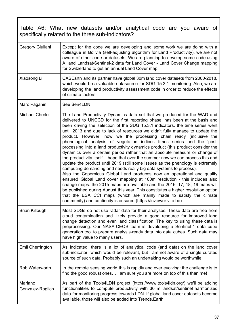<span id="page-37-0"></span>Table A6: What new datasets and/or analytical code are you aware of specifically related to the three sub-indicators?

| Gregory Giuliani            | Except for the code we are developing and some work we are doing with a<br>colleague in Bolivia (self-adjusting algorithm for Land Productivity), we are not<br>aware of other code or datasets. We are planning to develop some code using<br>AI and Landsat/Sentinel-2 data for Land Cover - Land Cover Change mapping<br>for Switzerland to get an annual Land Cover map.                                                                                                                                                                                                                                                                                                                                                                                                                                                                                                                                                                                                                                                                                                                                                                                                                                                                                                                                                                                  |
|-----------------------------|---------------------------------------------------------------------------------------------------------------------------------------------------------------------------------------------------------------------------------------------------------------------------------------------------------------------------------------------------------------------------------------------------------------------------------------------------------------------------------------------------------------------------------------------------------------------------------------------------------------------------------------------------------------------------------------------------------------------------------------------------------------------------------------------------------------------------------------------------------------------------------------------------------------------------------------------------------------------------------------------------------------------------------------------------------------------------------------------------------------------------------------------------------------------------------------------------------------------------------------------------------------------------------------------------------------------------------------------------------------|
| Xiaosong Li                 | CASEarth and its partner have global 30m land cover datasets from 2000-2018,<br>which would be a valuable datasource for SDG 15.3.1 monitoring. Also, we are<br>developing the land productivity assessment code in order to reduce the effects<br>of climate factors.                                                                                                                                                                                                                                                                                                                                                                                                                                                                                                                                                                                                                                                                                                                                                                                                                                                                                                                                                                                                                                                                                        |
| Marc Paganini               | See Sen4LDN                                                                                                                                                                                                                                                                                                                                                                                                                                                                                                                                                                                                                                                                                                                                                                                                                                                                                                                                                                                                                                                                                                                                                                                                                                                                                                                                                   |
| <b>Michael Cherlet</b>      | The Land Productivity Dynamics data set that we produced for the WAD and<br>delivered to UNCCD for the first reporting phase, has been at the basis and<br>been driving the selection of the SDG 15.3.1 indicators. the time series went<br>until 2013 and due to lack of resources we didn't fully manage to update the<br>product. However, now we the processing chain ready (inclusive the<br>phenological analysis of vegetation indices times series and the 'post'<br>processing into a land productivity dynamics product (this product consider the<br>dynamics over a certain period rather that an absolute measure or change of<br>the productivity itself. I hope that over the summer now we can process this and<br>update the product until 2019 (still some issues as the phenology is extremely<br>computing demanding and needs really big data systems to process).<br>Also the Copernicus Global Land produces now an operational and quality<br>ensured Global Land cover mapping at 100m resolution - this includes also<br>change maps. the 2015 maps are available and the 2016, 17, 18, 19 maps will<br>be published during August this year. This constitutes a higher resolution option<br>that the ESA CCI maps (which are mainly made to satisfy the climate<br>community) and continuity is ensured (https://lcviewer.vito.be) |
| <b>Brian Killough</b>       | Most SDGs do not use radar data for their analyses. These data are free from<br>cloud contamination and likely provide a good resource for improved land<br>change detection and even land classification. The key to using these data is<br>preprocessing. Our NASA-CEOS team is developing a Sentinel-1 data cube<br>generation tool to prepare analysis-ready data into data cubes. Such data may<br>have high value to many users.                                                                                                                                                                                                                                                                                                                                                                                                                                                                                                                                                                                                                                                                                                                                                                                                                                                                                                                        |
| Emil Cherrington            | As indicated, there is a lot of analytical code (and data) on the land cover<br>sub-indicator, which would be relevant, but I am not aware of a single curated<br>source of such data. Probably such an undertaking would be worthwhile.                                                                                                                                                                                                                                                                                                                                                                                                                                                                                                                                                                                                                                                                                                                                                                                                                                                                                                                                                                                                                                                                                                                      |
| Rob Waterworth              | In the remote sensing world this is rapidly and ever evolving: the challenge is to<br>find the good robust ones I am sure you are more on top of this than me!                                                                                                                                                                                                                                                                                                                                                                                                                                                                                                                                                                                                                                                                                                                                                                                                                                                                                                                                                                                                                                                                                                                                                                                                |
| Mariano<br>Gonzalez-Roglich | As part of the Tools4LDN project (https://www.tools4ldn.org/) we'll be adding<br>functionalities to compute productivity with 30 m landsat/sentinel harmonized<br>data for monitoring progress towards LDN. If global land cover datasets become<br>available, those will also be added into Trends. Earth                                                                                                                                                                                                                                                                                                                                                                                                                                                                                                                                                                                                                                                                                                                                                                                                                                                                                                                                                                                                                                                    |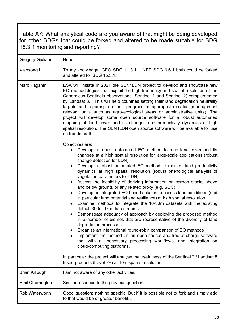<span id="page-38-0"></span>Table A7: What analytical code are you aware of that might be being developed for other SDGs that could be forked and altered to be made suitable for SDG 15.3.1 monitoring and reporting?

| Gregory Giuliani      | None                                                                                                                                                                                                                                                                                                                                                                                                                                                                                                                                                                                                                                                                                                                                                                                                                                                                                                                                                                                                                                                                                                                                                                                                                                                                                                                                                                                                                                                                                                                                                                                                                                                                                                  |
|-----------------------|-------------------------------------------------------------------------------------------------------------------------------------------------------------------------------------------------------------------------------------------------------------------------------------------------------------------------------------------------------------------------------------------------------------------------------------------------------------------------------------------------------------------------------------------------------------------------------------------------------------------------------------------------------------------------------------------------------------------------------------------------------------------------------------------------------------------------------------------------------------------------------------------------------------------------------------------------------------------------------------------------------------------------------------------------------------------------------------------------------------------------------------------------------------------------------------------------------------------------------------------------------------------------------------------------------------------------------------------------------------------------------------------------------------------------------------------------------------------------------------------------------------------------------------------------------------------------------------------------------------------------------------------------------------------------------------------------------|
| Xiaosong Li           | To my knowledge, GEO SDG 11.3.1, UNEP SDG 6.6.1 both could be forked<br>and altered for SDG 15.3.1.                                                                                                                                                                                                                                                                                                                                                                                                                                                                                                                                                                                                                                                                                                                                                                                                                                                                                                                                                                                                                                                                                                                                                                                                                                                                                                                                                                                                                                                                                                                                                                                                   |
| Marc Paganini         | ESA will initiate in 2021 the SEN4LDN project to develop and showcase new<br>EO methodologies that exploit the high frequency and spatial resolution of the<br>Copernicus Sentinels observations (Sentinel 1 and Sentinel 2) complemented<br>by Landsat 8, . This will help countries setting their land degradation neutrality<br>targets and reporting on their progress at appropriate scales (management<br>relevant units such as agro-ecological areas or administrative units). The<br>project will develop some open source software for a robust automated<br>mapping of land cover and its changes and productivity dynamics at high<br>spatial resolution. The SEN4LDN open source software will be available for use<br>on trends.earth.<br>Objectives are:<br>Develop a robust automated EO method to map land cover and its<br>changes at a high spatial resolution for large-scale applications (robust<br>change detection for LDN)<br>Develop a robust automated EO method to monitor land productivity<br>dynamics at high spatial resolution (robust phenological analysis of<br>vegetation parameters for LDN)<br>Assess the feasibility of deriving information on carbon stocks above<br>and below ground, or any related proxy (e.g. SOC)<br>Develop an integrated EO-based solution to assess land conditions (and<br>$\bullet$<br>in particular land potential and resilience) at high spatial resolution<br>Examine methods to integrate the 10-30m datasets with the existing<br>default 300m-1km data streams<br>Demonstrate adequacy of approach by deploying the proposed method<br>$\bullet$<br>in a number of biomes that are representative of the diversity of land |
|                       | degradation processes.<br>Organise an international round-robin comparison of EO methods<br>Implement the method on an open-source and free-of-charge software<br>tool with all necessary processing workflows, and integration on<br>cloud-computing platforms.                                                                                                                                                                                                                                                                                                                                                                                                                                                                                                                                                                                                                                                                                                                                                                                                                                                                                                                                                                                                                                                                                                                                                                                                                                                                                                                                                                                                                                      |
|                       | In particular the project will analyse the usefulness of the Sentinel 2 / Landsat 8<br>fused products (Level-2F) at 10m spatial resolution.                                                                                                                                                                                                                                                                                                                                                                                                                                                                                                                                                                                                                                                                                                                                                                                                                                                                                                                                                                                                                                                                                                                                                                                                                                                                                                                                                                                                                                                                                                                                                           |
| <b>Brian Killough</b> | I am not aware of any other activities.                                                                                                                                                                                                                                                                                                                                                                                                                                                                                                                                                                                                                                                                                                                                                                                                                                                                                                                                                                                                                                                                                                                                                                                                                                                                                                                                                                                                                                                                                                                                                                                                                                                               |
| Emil Cherrington      | Similar response to the previous question.                                                                                                                                                                                                                                                                                                                                                                                                                                                                                                                                                                                                                                                                                                                                                                                                                                                                                                                                                                                                                                                                                                                                                                                                                                                                                                                                                                                                                                                                                                                                                                                                                                                            |
| Rob Waterworth        | Good question: nothing specific. But if it is possible not to fork and simply add<br>to that would be of greater benefit                                                                                                                                                                                                                                                                                                                                                                                                                                                                                                                                                                                                                                                                                                                                                                                                                                                                                                                                                                                                                                                                                                                                                                                                                                                                                                                                                                                                                                                                                                                                                                              |